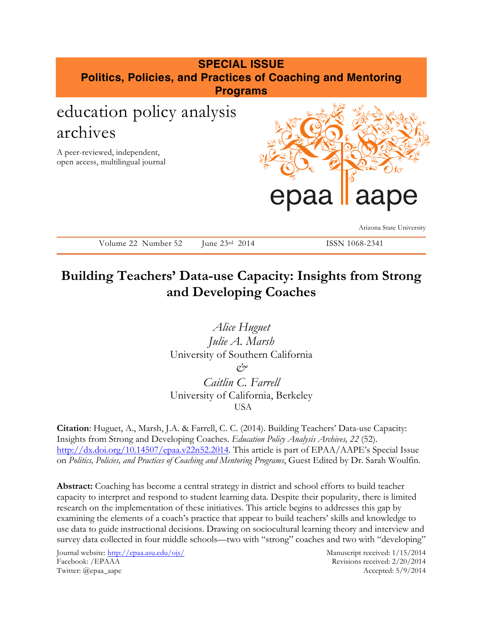# **SPECIAL ISSUE Politics, Policies, and Practices of Coaching and Mentoring Programs** education policy analysis archives A peer-reviewed, independent, open access, multilingual journal Arizona State University Volume 22 Number 52 June 23rd 2014 ISSN 1068-2341 epaa laape

# **Building Teachers' Data-use Capacity: Insights from Strong and Developing Coaches**

*Alice Huguet Julie A. Marsh* University of Southern California *& Caitlin C. Farrell* University of California, Berkeley USA

**Citation**: Huguet, A., Marsh, J.A. & Farrell, C. C. (2014). Building Teachers' Data-use Capacity: Insights from Strong and Developing Coaches. *Education Policy Analysis Archives, 22* (52). http://dx.doi.org/10.14507/epaa.v22n52.2014. This article is part of EPAA/AAPE's Special Issue on *Politics, Policies, and Practices of Coaching and Mentoring Programs*, Guest Edited by Dr. Sarah Woulfin.

**Abstract:** Coaching has become a central strategy in district and school efforts to build teacher capacity to interpret and respond to student learning data. Despite their popularity, there is limited research on the implementation of these initiatives. This article begins to addresses this gap by examining the elements of a coach's practice that appear to build teachers' skills and knowledge to use data to guide instructional decisions. Drawing on sociocultural learning theory and interview and survey data collected in four middle schools—two with "strong" coaches and two with "developing"

Journal website: http://epaa.asu.edu/ojs/ Manuscript received: 1/15/2014 Facebook: /EPAAA Revisions received: 2/20/2014 Twitter: @epaa\_aape Accepted: 5/9/2014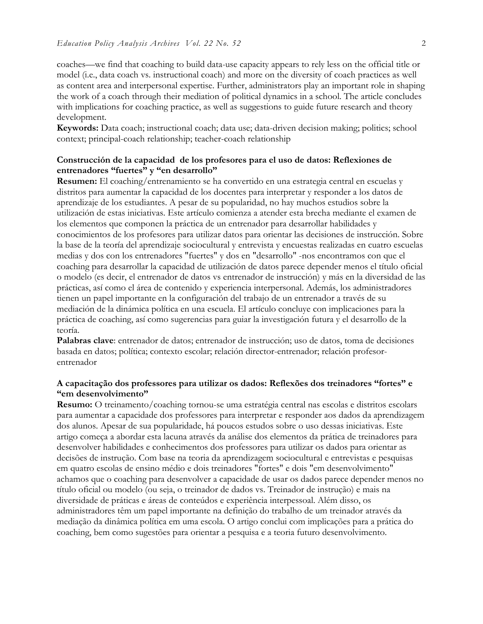coaches—we find that coaching to build data-use capacity appears to rely less on the official title or model (i.e., data coach vs. instructional coach) and more on the diversity of coach practices as well as content area and interpersonal expertise. Further, administrators play an important role in shaping the work of a coach through their mediation of political dynamics in a school. The article concludes with implications for coaching practice, as well as suggestions to guide future research and theory development.

**Keywords:** Data coach; instructional coach; data use; data-driven decision making; politics; school context; principal-coach relationship; teacher-coach relationship

#### **Construcción de la capacidad de los profesores para el uso de datos: Reflexiones de entrenadores "fuertes" y "en desarrollo"**

**Resumen:** El coaching/entrenamiento se ha convertido en una estrategia central en escuelas y distritos para aumentar la capacidad de los docentes para interpretar y responder a los datos de aprendizaje de los estudiantes. A pesar de su popularidad, no hay muchos estudios sobre la utilización de estas iniciativas. Este artículo comienza a atender esta brecha mediante el examen de los elementos que componen la práctica de un entrenador para desarrollar habilidades y conocimientos de los profesores para utilizar datos para orientar las decisiones de instrucción. Sobre la base de la teoría del aprendizaje sociocultural y entrevista y encuestas realizadas en cuatro escuelas medias y dos con los entrenadores "fuertes" y dos en "desarrollo" -nos encontramos con que el coaching para desarrollar la capacidad de utilización de datos parece depender menos el título oficial o modelo (es decir, el entrenador de datos vs entrenador de instrucción) y más en la diversidad de las prácticas, así como el área de contenido y experiencia interpersonal. Además, los administradores tienen un papel importante en la configuración del trabajo de un entrenador a través de su mediación de la dinámica política en una escuela. El artículo concluye con implicaciones para la práctica de coaching, así como sugerencias para guiar la investigación futura y el desarrollo de la teoría.

**Palabras clave**: entrenador de datos; entrenador de instrucción; uso de datos, toma de decisiones basada en datos; política; contexto escolar; relación director-entrenador; relación profesorentrenador

#### **A capacitação dos professores para utilizar os dados: Reflexões dos treinadores "fortes" e "em desenvolvimento"**

**Resumo:** O treinamento/coaching tornou-se uma estratégia central nas escolas e distritos escolars para aumentar a capacidade dos professores para interpretar e responder aos dados da aprendizagem dos alunos. Apesar de sua popularidade, há poucos estudos sobre o uso dessas iniciativas. Este artigo começa a abordar esta lacuna através da análise dos elementos da prática de treinadores para desenvolver habilidades e conhecimentos dos professores para utilizar os dados para orientar as decisões de instrução. Com base na teoria da aprendizagem sociocultural e entrevistas e pesquisas em quatro escolas de ensino médio e dois treinadores "fortes" e dois "em desenvolvimento" achamos que o coaching para desenvolver a capacidade de usar os dados parece depender menos no título oficial ou modelo (ou seja, o treinador de dados vs. Treinador de instrução) e mais na diversidade de práticas e áreas de conteúdos e experiência interpessoal. Além disso, os administradores têm um papel importante na definição do trabalho de um treinador através da mediação da dinâmica política em uma escola. O artigo conclui com implicações para a prática do coaching, bem como sugestões para orientar a pesquisa e a teoria futuro desenvolvimento.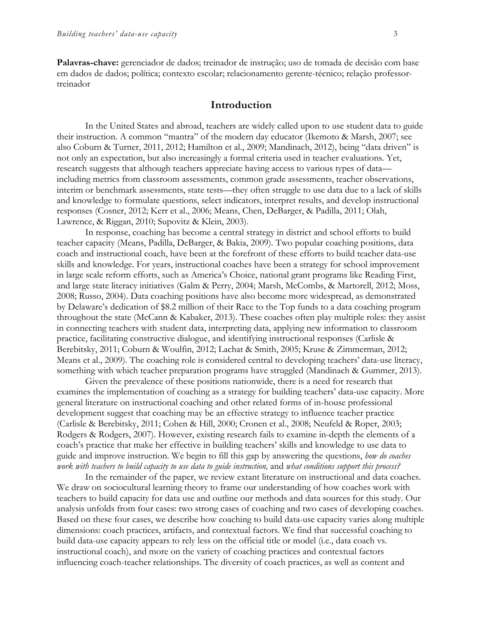**Palavras-chave:** gerenciador de dados; treinador de instrução; uso de tomada de decisão com base em dados de dados; política; contexto escolar; relacionamento gerente-técnico; relação professortreinador

#### **Introduction**

In the United States and abroad, teachers are widely called upon to use student data to guide their instruction. A common "mantra" of the modern day educator (Ikemoto & Marsh, 2007; see also Coburn & Turner, 2011, 2012; Hamilton et al., 2009; Mandinach, 2012), being "data driven" is not only an expectation, but also increasingly a formal criteria used in teacher evaluations. Yet, research suggests that although teachers appreciate having access to various types of data including metrics from classroom assessments, common grade assessments, teacher observations, interim or benchmark assessments, state tests—they often struggle to use data due to a lack of skills and knowledge to formulate questions, select indicators, interpret results, and develop instructional responses (Cosner, 2012; Kerr et al., 2006; Means, Chen, DeBarger, & Padilla, 2011; Olah, Lawrence, & Riggan, 2010; Supovitz & Klein, 2003).

In response, coaching has become a central strategy in district and school efforts to build teacher capacity (Means, Padilla, DeBarger, & Bakia, 2009). Two popular coaching positions, data coach and instructional coach, have been at the forefront of these efforts to build teacher data-use skills and knowledge. For years, instructional coaches have been a strategy for school improvement in large scale reform efforts, such as America's Choice, national grant programs like Reading First, and large state literacy initiatives (Galm & Perry, 2004; Marsh, McCombs, & Martorell, 2012; Moss, 2008; Russo, 2004). Data coaching positions have also become more widespread, as demonstrated by Delaware's dedication of \$8.2 million of their Race to the Top funds to a data coaching program throughout the state (McCann & Kabaker, 2013). These coaches often play multiple roles: they assist in connecting teachers with student data, interpreting data, applying new information to classroom practice, facilitating constructive dialogue, and identifying instructional responses (Carlisle & Berebitsky, 2011; Coburn & Woulfin, 2012; Lachat & Smith, 2005; Kruse & Zimmerman, 2012; Means et al., 2009). The coaching role is considered central to developing teachers' data-use literacy, something with which teacher preparation programs have struggled (Mandinach & Gummer, 2013).

Given the prevalence of these positions nationwide, there is a need for research that examines the implementation of coaching as a strategy for building teachers' data-use capacity. More general literature on instructional coaching and other related forms of in-house professional development suggest that coaching may be an effective strategy to influence teacher practice (Carlisle & Berebitsky, 2011; Cohen & Hill, 2000; Cronen et al., 2008; Neufeld & Roper, 2003; Rodgers & Rodgers, 2007). However, existing research fails to examine in-depth the elements of a coach's practice that make her effective in building teachers' skills and knowledge to use data to guide and improve instruction. We begin to fill this gap by answering the questions, *how do coaches work with teachers to build capacity to use data to guide instruction,* and *what conditions support this process?*

In the remainder of the paper, we review extant literature on instructional and data coaches. We draw on sociocultural learning theory to frame our understanding of how coaches work with teachers to build capacity for data use and outline our methods and data sources for this study. Our analysis unfolds from four cases: two strong cases of coaching and two cases of developing coaches. Based on these four cases, we describe how coaching to build data-use capacity varies along multiple dimensions: coach practices, artifacts, and contextual factors. We find that successful coaching to build data-use capacity appears to rely less on the official title or model (i.e., data coach vs. instructional coach), and more on the variety of coaching practices and contextual factors influencing coach-teacher relationships. The diversity of coach practices, as well as content and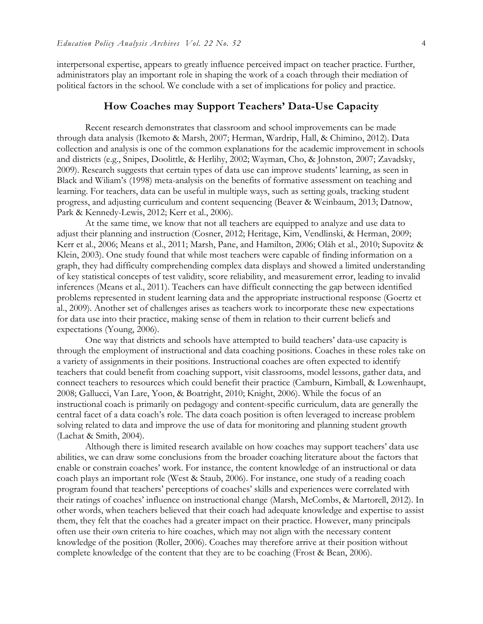interpersonal expertise, appears to greatly influence perceived impact on teacher practice. Further, administrators play an important role in shaping the work of a coach through their mediation of political factors in the school. We conclude with a set of implications for policy and practice.

#### **How Coaches may Support Teachers' Data-Use Capacity**

Recent research demonstrates that classroom and school improvements can be made through data analysis (Ikemoto & Marsh, 2007; Herman, Wardrip, Hall, & Chimino, 2012). Data collection and analysis is one of the common explanations for the academic improvement in schools and districts (e.g., Snipes, Doolittle, & Herlihy, 2002; Wayman, Cho, & Johnston, 2007; Zavadsky, 2009). Research suggests that certain types of data use can improve students' learning, as seen in Black and Wiliam's (1998) meta-analysis on the benefits of formative assessment on teaching and learning. For teachers, data can be useful in multiple ways, such as setting goals, tracking student progress, and adjusting curriculum and content sequencing (Beaver & Weinbaum, 2013; Datnow, Park & Kennedy-Lewis, 2012; Kerr et al., 2006).

At the same time, we know that not all teachers are equipped to analyze and use data to adjust their planning and instruction (Cosner, 2012; Heritage, Kim, Vendlinski, & Herman, 2009; Kerr et al., 2006; Means et al., 2011; Marsh, Pane, and Hamilton, 2006; Oláh et al., 2010; Supovitz & Klein, 2003). One study found that while most teachers were capable of finding information on a graph, they had difficulty comprehending complex data displays and showed a limited understanding of key statistical concepts of test validity, score reliability, and measurement error, leading to invalid inferences (Means et al., 2011). Teachers can have difficult connecting the gap between identified problems represented in student learning data and the appropriate instructional response (Goertz et al., 2009). Another set of challenges arises as teachers work to incorporate these new expectations for data use into their practice, making sense of them in relation to their current beliefs and expectations (Young, 2006).

One way that districts and schools have attempted to build teachers' data-use capacity is through the employment of instructional and data coaching positions. Coaches in these roles take on a variety of assignments in their positions. Instructional coaches are often expected to identify teachers that could benefit from coaching support, visit classrooms, model lessons, gather data, and connect teachers to resources which could benefit their practice (Camburn, Kimball, & Lowenhaupt, 2008; Gallucci, Van Lare, Yoon, & Boatright, 2010; Knight, 2006). While the focus of an instructional coach is primarily on pedagogy and content-specific curriculum, data are generally the central facet of a data coach's role. The data coach position is often leveraged to increase problem solving related to data and improve the use of data for monitoring and planning student growth (Lachat & Smith, 2004).

Although there is limited research available on how coaches may support teachers' data use abilities, we can draw some conclusions from the broader coaching literature about the factors that enable or constrain coaches' work. For instance, the content knowledge of an instructional or data coach plays an important role (West & Staub, 2006). For instance, one study of a reading coach program found that teachers' perceptions of coaches' skills and experiences were correlated with their ratings of coaches' influence on instructional change (Marsh, McCombs, & Martorell, 2012). In other words, when teachers believed that their coach had adequate knowledge and expertise to assist them, they felt that the coaches had a greater impact on their practice. However, many principals often use their own criteria to hire coaches, which may not align with the necessary content knowledge of the position (Roller, 2006). Coaches may therefore arrive at their position without complete knowledge of the content that they are to be coaching (Frost & Bean, 2006).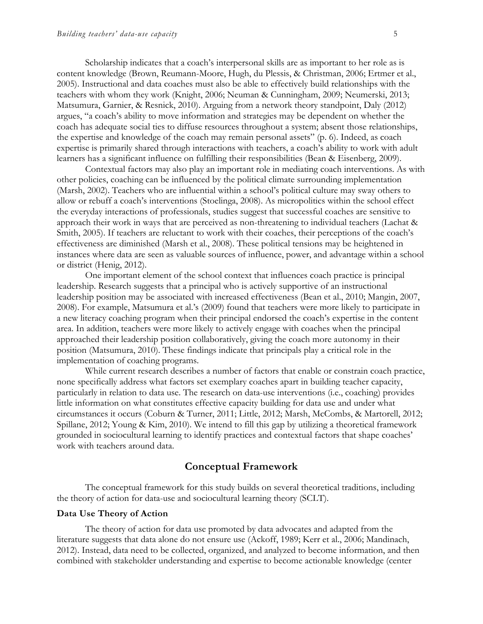Scholarship indicates that a coach's interpersonal skills are as important to her role as is content knowledge (Brown, Reumann-Moore, Hugh, du Plessis, & Christman, 2006; Ertmer et al., 2005). Instructional and data coaches must also be able to effectively build relationships with the teachers with whom they work (Knight, 2006; Neuman & Cunningham, 2009; Neumerski, 2013; Matsumura, Garnier, & Resnick, 2010). Arguing from a network theory standpoint, Daly (2012) argues, "a coach's ability to move information and strategies may be dependent on whether the coach has adequate social ties to diffuse resources throughout a system; absent those relationships, the expertise and knowledge of the coach may remain personal assets" (p. 6). Indeed, as coach expertise is primarily shared through interactions with teachers, a coach's ability to work with adult learners has a significant influence on fulfilling their responsibilities (Bean & Eisenberg, 2009).

Contextual factors may also play an important role in mediating coach interventions. As with other policies, coaching can be influenced by the political climate surrounding implementation (Marsh, 2002). Teachers who are influential within a school's political culture may sway others to allow or rebuff a coach's interventions (Stoelinga, 2008). As micropolitics within the school effect the everyday interactions of professionals, studies suggest that successful coaches are sensitive to approach their work in ways that are perceived as non-threatening to individual teachers (Lachat & Smith, 2005). If teachers are reluctant to work with their coaches, their perceptions of the coach's effectiveness are diminished (Marsh et al., 2008). These political tensions may be heightened in instances where data are seen as valuable sources of influence, power, and advantage within a school or district (Henig, 2012).

One important element of the school context that influences coach practice is principal leadership. Research suggests that a principal who is actively supportive of an instructional leadership position may be associated with increased effectiveness (Bean et al., 2010; Mangin, 2007, 2008). For example, Matsumura et al.'s (2009) found that teachers were more likely to participate in a new literacy coaching program when their principal endorsed the coach's expertise in the content area. In addition, teachers were more likely to actively engage with coaches when the principal approached their leadership position collaboratively, giving the coach more autonomy in their position (Matsumura, 2010). These findings indicate that principals play a critical role in the implementation of coaching programs.

While current research describes a number of factors that enable or constrain coach practice, none specifically address what factors set exemplary coaches apart in building teacher capacity, particularly in relation to data use. The research on data-use interventions (i.e., coaching) provides little information on what constitutes effective capacity building for data use and under what circumstances it occurs (Coburn & Turner, 2011; Little, 2012; Marsh, McCombs, & Martorell, 2012; Spillane, 2012; Young & Kim, 2010). We intend to fill this gap by utilizing a theoretical framework grounded in sociocultural learning to identify practices and contextual factors that shape coaches' work with teachers around data.

#### **Conceptual Framework**

The conceptual framework for this study builds on several theoretical traditions, including the theory of action for data-use and sociocultural learning theory (SCLT).

#### **Data Use Theory of Action**

The theory of action for data use promoted by data advocates and adapted from the literature suggests that data alone do not ensure use (Ackoff, 1989; Kerr et al., 2006; Mandinach, 2012). Instead, data need to be collected, organized, and analyzed to become information, and then combined with stakeholder understanding and expertise to become actionable knowledge (center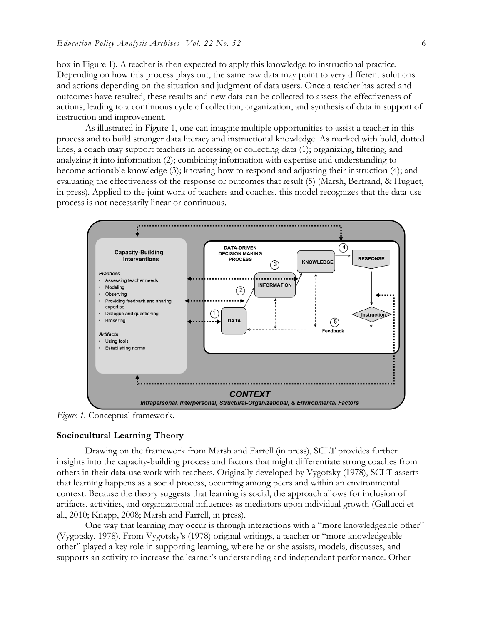box in Figure 1). A teacher is then expected to apply this knowledge to instructional practice. Depending on how this process plays out, the same raw data may point to very different solutions and actions depending on the situation and judgment of data users. Once a teacher has acted and outcomes have resulted, these results and new data can be collected to assess the effectiveness of actions, leading to a continuous cycle of collection, organization, and synthesis of data in support of instruction and improvement.

As illustrated in Figure 1, one can imagine multiple opportunities to assist a teacher in this process and to build stronger data literacy and instructional knowledge. As marked with bold, dotted lines, a coach may support teachers in accessing or collecting data (1); organizing, filtering, and analyzing it into information (2); combining information with expertise and understanding to become actionable knowledge (3); knowing how to respond and adjusting their instruction (4); and evaluating the effectiveness of the response or outcomes that result (5) (Marsh, Bertrand, & Huguet, in press). Applied to the joint work of teachers and coaches, this model recognizes that the data-use process is not necessarily linear or continuous.



*Figure 1.* Conceptual framework.

#### **Sociocultural Learning Theory**

Drawing on the framework from Marsh and Farrell (in press), SCLT provides further insights into the capacity-building process and factors that might differentiate strong coaches from others in their data-use work with teachers. Originally developed by Vygotsky (1978), SCLT asserts that learning happens as a social process, occurring among peers and within an environmental context. Because the theory suggests that learning is social, the approach allows for inclusion of artifacts, activities, and organizational influences as mediators upon individual growth (Gallucci et al., 2010; Knapp, 2008; Marsh and Farrell, in press).

One way that learning may occur is through interactions with a "more knowledgeable other" (Vygotsky, 1978). From Vygotsky's (1978) original writings, a teacher or "more knowledgeable other" played a key role in supporting learning, where he or she assists, models, discusses, and supports an activity to increase the learner's understanding and independent performance. Other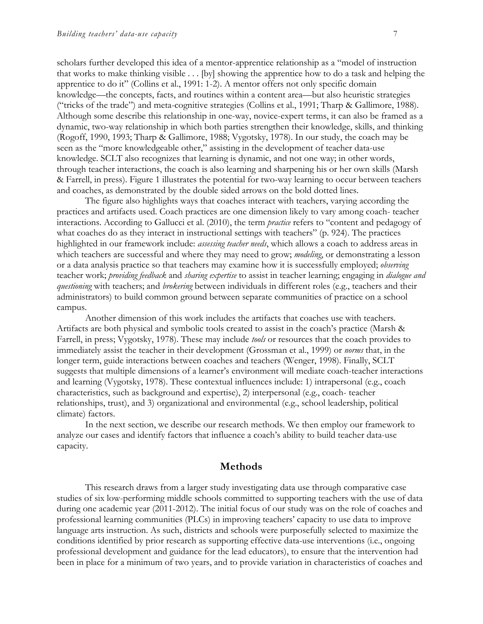scholars further developed this idea of a mentor-apprentice relationship as a "model of instruction that works to make thinking visible . . . [by] showing the apprentice how to do a task and helping the apprentice to do it" (Collins et al., 1991: 1-2). A mentor offers not only specific domain knowledge—the concepts, facts, and routines within a content area—but also heuristic strategies ("tricks of the trade") and meta-cognitive strategies (Collins et al., 1991; Tharp & Gallimore, 1988). Although some describe this relationship in one-way, novice-expert terms, it can also be framed as a dynamic, two-way relationship in which both parties strengthen their knowledge, skills, and thinking (Rogoff, 1990, 1993; Tharp & Gallimore, 1988; Vygotsky, 1978). In our study, the coach may be seen as the "more knowledgeable other," assisting in the development of teacher data-use knowledge. SCLT also recognizes that learning is dynamic, and not one way; in other words, through teacher interactions, the coach is also learning and sharpening his or her own skills (Marsh & Farrell, in press). Figure 1 illustrates the potential for two-way learning to occur between teachers and coaches, as demonstrated by the double sided arrows on the bold dotted lines.

The figure also highlights ways that coaches interact with teachers, varying according the practices and artifacts used. Coach practices are one dimension likely to vary among coach- teacher interactions. According to Gallucci et al. (2010), the term *practice* refers to "content and pedagogy of what coaches do as they interact in instructional settings with teachers" (p. 924). The practices highlighted in our framework include: *assessing teacher needs*, which allows a coach to address areas in which teachers are successful and where they may need to grow; *modeling*, or demonstrating a lesson or a data analysis practice so that teachers may examine how it is successfully employed; *observing*  teacher work; *providing feedback* and *sharing expertise* to assist in teacher learning; engaging in *dialogue and questioning* with teachers; and *brokering* between individuals in different roles (e.g., teachers and their administrators) to build common ground between separate communities of practice on a school campus.

Another dimension of this work includes the artifacts that coaches use with teachers. Artifacts are both physical and symbolic tools created to assist in the coach's practice (Marsh & Farrell, in press; Vygotsky, 1978). These may include *tools* or resources that the coach provides to immediately assist the teacher in their development (Grossman et al., 1999) or *norms* that, in the longer term, guide interactions between coaches and teachers (Wenger, 1998). Finally, SCLT suggests that multiple dimensions of a learner's environment will mediate coach-teacher interactions and learning (Vygotsky, 1978). These contextual influences include: 1) intrapersonal (e.g., coach characteristics, such as background and expertise), 2) interpersonal (e.g., coach- teacher relationships, trust), and 3) organizational and environmental (e.g., school leadership, political climate) factors.

In the next section, we describe our research methods. We then employ our framework to analyze our cases and identify factors that influence a coach's ability to build teacher data-use capacity.

#### **Methods**

This research draws from a larger study investigating data use through comparative case studies of six low-performing middle schools committed to supporting teachers with the use of data during one academic year (2011-2012). The initial focus of our study was on the role of coaches and professional learning communities (PLCs) in improving teachers' capacity to use data to improve language arts instruction. As such, districts and schools were purposefully selected to maximize the conditions identified by prior research as supporting effective data-use interventions (i.e., ongoing professional development and guidance for the lead educators), to ensure that the intervention had been in place for a minimum of two years, and to provide variation in characteristics of coaches and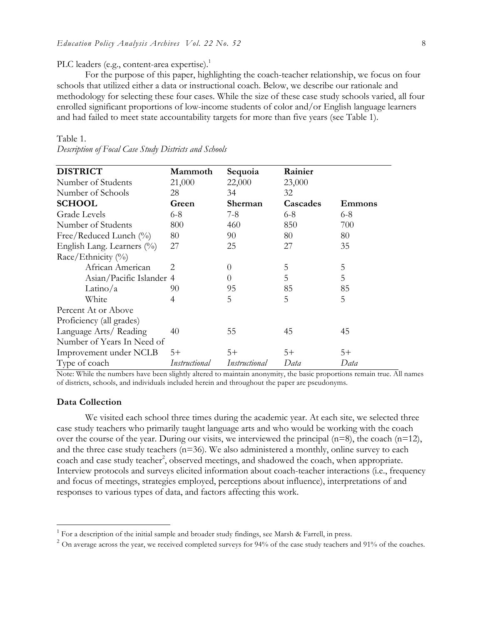#### PLC leaders (e.g., content-area expertise).<sup>1</sup>

For the purpose of this paper, highlighting the coach-teacher relationship, we focus on four schools that utilized either a data or instructional coach. Below, we describe our rationale and methodology for selecting these four cases. While the size of these case study schools varied, all four enrolled significant proportions of low-income students of color and/or English language learners and had failed to meet state accountability targets for more than five years (see Table 1).

#### Table 1.

| <b>DISTRICT</b>               | Mammoth               | Sequoia       | Rainier  |               |
|-------------------------------|-----------------------|---------------|----------|---------------|
| Number of Students            | 21,000                | 22,000        | 23,000   |               |
| Number of Schools             | 28                    | 34            | 32       |               |
| <b>SCHOOL</b>                 | Green                 | Sherman       | Cascades | <b>Emmons</b> |
| <b>Grade Levels</b>           | $6-8$                 | 7-8           | $6 - 8$  | $6 - 8$       |
| Number of Students            | 800                   | 460           | 850      | 700           |
| Free/Reduced Lunch (%)        | 80                    | 90            | 80       | 80            |
| English Lang. Learners $(\%)$ | 27                    | 25            | 27       | 35            |
| Race/Ethnicity (%)            |                       |               |          |               |
| African American              | $\mathcal{D}_{\cdot}$ | $\theta$      | 5        | 5             |
| Asian/Pacific Islander 4      |                       | $\theta$      | 5        | 5             |
| Latino/a                      | 90                    | 95            | 85       | 85            |
| White                         | 4                     | 5             | 5        | 5             |
| Percent At or Above           |                       |               |          |               |
| Proficiency (all grades)      |                       |               |          |               |
| Language Arts/Reading         | 40                    | 55            | 45       | 45            |
| Number of Years In Need of    |                       |               |          |               |
| Improvement under NCLB        | $5+$                  | $5+$          | $5+$     | $5+$          |
| Type of coach                 | Instructional         | Instructional | Data     | Data          |

*Description of Focal Case Study Districts and Schools*

Note: While the numbers have been slightly altered to maintain anonymity, the basic proportions remain true. All names of districts, schools, and individuals included herein and throughout the paper are pseudonyms.

#### **Data Collection**

We visited each school three times during the academic year. At each site, we selected three case study teachers who primarily taught language arts and who would be working with the coach over the course of the year. During our visits, we interviewed the principal  $(n=8)$ , the coach  $(n=12)$ , and the three case study teachers (n=36). We also administered a monthly, online survey to each coach and case study teacher<sup>2</sup>, observed meetings, and shadowed the coach, when appropriate. Interview protocols and surveys elicited information about coach-teacher interactions (i.e., frequency and focus of meetings, strategies employed, perceptions about influence), interpretations of and responses to various types of data, and factors affecting this work.

<sup>&</sup>lt;sup>1</sup> For a description of the initial sample and broader study findings, see Marsh & Farrell, in press. <sup>2</sup> On average across the year, we received completed surveys for 94% of the case study teachers and 91% of the coache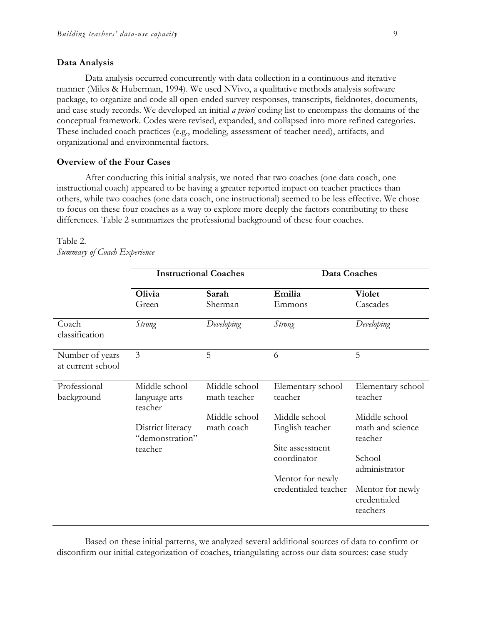#### **Data Analysis**

Data analysis occurred concurrently with data collection in a continuous and iterative manner (Miles & Huberman, 1994). We used NVivo, a qualitative methods analysis software package, to organize and code all open-ended survey responses, transcripts, fieldnotes, documents, and case study records. We developed an initial *a priori* coding list to encompass the domains of the conceptual framework. Codes were revised, expanded, and collapsed into more refined categories. These included coach practices (e.g., modeling, assessment of teacher need), artifacts, and organizational and environmental factors.

#### **Overview of the Four Cases**

After conducting this initial analysis, we noted that two coaches (one data coach, one instructional coach) appeared to be having a greater reported impact on teacher practices than others, while two coaches (one data coach, one instructional) seemed to be less effective. We chose to focus on these four coaches as a way to explore more deeply the factors contributing to these differences. Table 2 summarizes the professional background of these four coaches.

# Table 2.

|                                      | <b>Instructional Coaches</b>              |                               | Data Coaches                                        |                                              |
|--------------------------------------|-------------------------------------------|-------------------------------|-----------------------------------------------------|----------------------------------------------|
|                                      | Olivia<br>Green                           | Sarah<br>Sherman              | Emilia<br>Emmons                                    | <b>Violet</b><br>Cascades                    |
| Coach<br>classification              | Strong                                    | Developing                    | <b>Strong</b>                                       | Developing                                   |
| Number of years<br>at current school | $\mathfrak{Z}$                            | 5                             | 6                                                   | 5                                            |
| Professional<br>background           | Middle school<br>language arts<br>teacher | Middle school<br>math teacher | Elementary school<br>teacher                        | Elementary school<br>teacher                 |
|                                      | District literacy<br>"demonstration"      | Middle school<br>math coach   | Middle school<br>English teacher<br>Site assessment | Middle school<br>math and science<br>teacher |
|                                      | teacher                                   |                               | coordinator<br>Mentor for newly                     | School<br>administrator                      |
|                                      |                                           |                               | credentialed teacher                                | Mentor for newly<br>credentialed<br>teachers |

*Summary of Coach Experience*

Based on these initial patterns, we analyzed several additional sources of data to confirm or disconfirm our initial categorization of coaches, triangulating across our data sources: case study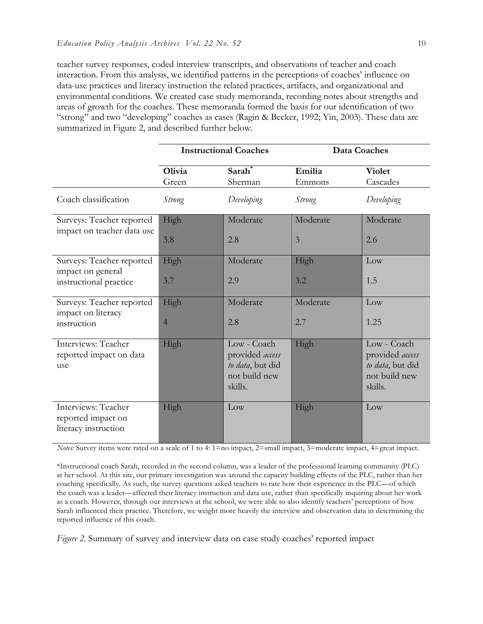teacher survey responses, coded interview transcripts, and observations of teacher and coach interaction. From this analysis, we identified patterns in the perceptions of coaches' influence on data-use practices and literacy instruction the related practices, artifacts, and organizational and environmental conditions. We created case study memoranda, recording notes about strengths and areas of growth for the coaches. These memoranda formed the basis for our identification of two "strong" and two "developing" coaches as cases (Ragin & Becker, 1992; Yin, 2003). These data are summarized in Figure 2, and described further below.

|                                                                          | <b>Instructional Coaches</b> |                                                                                | Data Coaches               |                                                                                |
|--------------------------------------------------------------------------|------------------------------|--------------------------------------------------------------------------------|----------------------------|--------------------------------------------------------------------------------|
|                                                                          | Olivia<br>Green              | Sarah <sup>*</sup><br>Sherman                                                  | Emilia<br>Emmons           | <b>Violet</b><br>Cascades                                                      |
| Coach classification                                                     | Strong                       | Developing                                                                     | <i>Strong</i>              | Developing                                                                     |
| Surveys: Teacher reported<br>impact on teacher data use                  | High<br>3.8                  | Moderate<br>2.8                                                                | Moderate<br>$\overline{3}$ | Moderate<br>2.6                                                                |
| Surveys: Teacher reported<br>impact on general<br>instructional practice | High<br>3.7                  | Moderate<br>2.9                                                                | High<br>3.2                | Low<br>1.5                                                                     |
| Surveys: Teacher reported<br>impact on literacy<br>instruction           | High<br>$\overline{4}$       | Moderate<br>2.8                                                                | Moderate<br>2.7            | Low<br>1.25                                                                    |
| Interviews: Teacher<br>reported impact on data<br>use                    | High                         | Low - Coach<br>provided access<br>to data, but did<br>not build new<br>skills. | High                       | Low - Coach<br>provided access<br>to data, but did<br>not build new<br>skills. |
| Interviews: Teacher<br>reported impact on<br>literacy instruction        | High                         | Low                                                                            | High                       | Low                                                                            |

*Notes:* Survey items were rated on a scale of 1 to 4: 1=no impact, 2=small impact, 3=moderate impact, 4=great impact.

\*Instructional coach Sarah, recorded in the second column, was a leader of the professional learning community (PLC) at her school. At this site, our primary investigation was around the capacity building effects of the PLC, rather than her coaching specifically. As such, the survey questions asked teachers to rate how their experience in the PLC—of which the coach was a leader—affected their literacy instruction and data use, rather than specifically inquiring about her work as a coach. However, through our interviews at the school, we were able to also identify teachers' perceptions of how Sarah influenced their practice. Therefore, we weight more heavily the interview and observation data in determining the reported influence of this coach.

*Figure 2.* Summary of survey and interview data on case study coaches' reported impact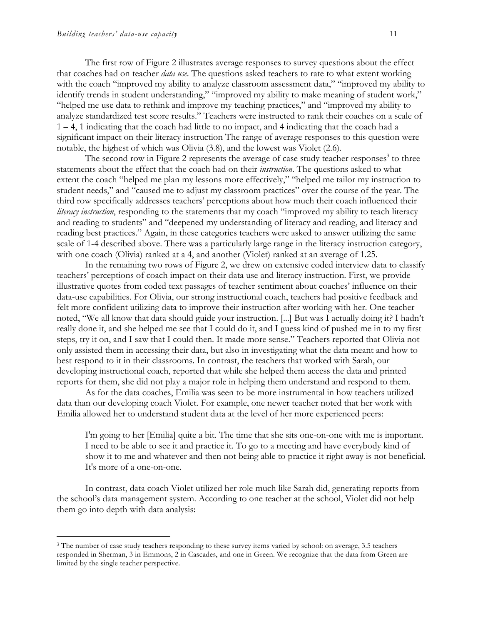The first row of Figure 2 illustrates average responses to survey questions about the effect that coaches had on teacher *data use*. The questions asked teachers to rate to what extent working with the coach "improved my ability to analyze classroom assessment data," "improved my ability to identify trends in student understanding," "improved my ability to make meaning of student work," "helped me use data to rethink and improve my teaching practices," and "improved my ability to analyze standardized test score results." Teachers were instructed to rank their coaches on a scale of 1 – 4, 1 indicating that the coach had little to no impact, and 4 indicating that the coach had a significant impact on their literacy instruction The range of average responses to this question were notable, the highest of which was Olivia (3.8), and the lowest was Violet (2.6).

The second row in Figure 2 represents the average of case study teacher responses $3$  to three statements about the effect that the coach had on their *instruction*. The questions asked to what extent the coach "helped me plan my lessons more effectively," "helped me tailor my instruction to student needs," and "caused me to adjust my classroom practices" over the course of the year. The third row specifically addresses teachers' perceptions about how much their coach influenced their *literacy instruction*, responding to the statements that my coach "improved my ability to teach literacy and reading to students" and "deepened my understanding of literacy and reading, and literacy and reading best practices." Again, in these categories teachers were asked to answer utilizing the same scale of 1-4 described above. There was a particularly large range in the literacy instruction category, with one coach (Olivia) ranked at a 4, and another (Violet) ranked at an average of 1.25.

In the remaining two rows of Figure 2, we drew on extensive coded interview data to classify teachers' perceptions of coach impact on their data use and literacy instruction. First, we provide illustrative quotes from coded text passages of teacher sentiment about coaches' influence on their data-use capabilities. For Olivia, our strong instructional coach, teachers had positive feedback and felt more confident utilizing data to improve their instruction after working with her. One teacher noted, "We all know that data should guide your instruction. [...] But was I actually doing it? I hadn't really done it, and she helped me see that I could do it, and I guess kind of pushed me in to my first steps, try it on, and I saw that I could then. It made more sense." Teachers reported that Olivia not only assisted them in accessing their data, but also in investigating what the data meant and how to best respond to it in their classrooms. In contrast, the teachers that worked with Sarah, our developing instructional coach, reported that while she helped them access the data and printed reports for them, she did not play a major role in helping them understand and respond to them.

As for the data coaches, Emilia was seen to be more instrumental in how teachers utilized data than our developing coach Violet. For example, one newer teacher noted that her work with Emilia allowed her to understand student data at the level of her more experienced peers:

I'm going to her [Emilia] quite a bit. The time that she sits one-on-one with me is important. I need to be able to see it and practice it. To go to a meeting and have everybody kind of show it to me and whatever and then not being able to practice it right away is not beneficial. It's more of a one-on-one.

In contrast, data coach Violet utilized her role much like Sarah did, generating reports from the school's data management system. According to one teacher at the school, Violet did not help them go into depth with data analysis:

<sup>&</sup>lt;sup>3</sup> The number of case study teachers responding to these survey items varied by school: on average, 3.5 teachers responded in Sherman, 3 in Emmons, 2 in Cascades, and one in Green. We recognize that the data from Green are limited by the single teacher perspective.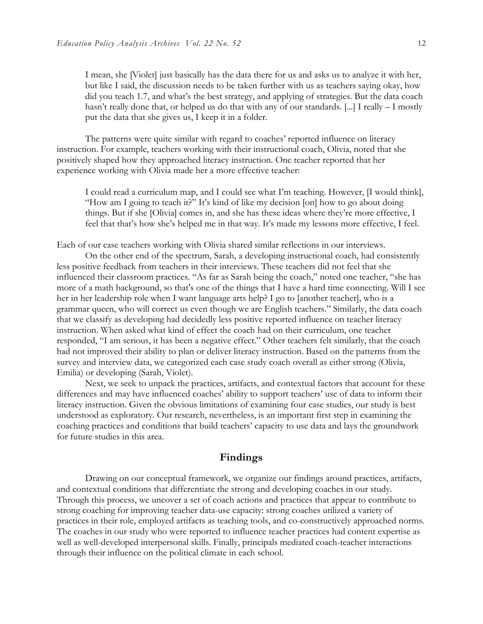I mean, she [Violet] just basically has the data there for us and asks us to analyze it with her, but like I said, the discussion needs to be taken further with us as teachers saying okay, how did you teach 1.7, and what's the best strategy, and applying of strategies. But the data coach hasn't really done that, or helped us do that with any of our standards. [...] I really – I mostly put the data that she gives us, I keep it in a folder.

The patterns were quite similar with regard to coaches' reported influence on literacy instruction. For example, teachers working with their instructional coach, Olivia, noted that she positively shaped how they approached literacy instruction. One teacher reported that her experience working with Olivia made her a more effective teacher:

I could read a curriculum map, and I could see what I'm teaching. However, [I would think], "How am I going to teach it?" It's kind of like my decision [on] how to go about doing things. But if she [Olivia] comes in, and she has these ideas where they're more effective, I feel that that's how she's helped me in that way. It's made my lessons more effective, I feel.

Each of our case teachers working with Olivia shared similar reflections in our interviews.

On the other end of the spectrum, Sarah, a developing instructional coach, had consistently less positive feedback from teachers in their interviews. These teachers did not feel that she influenced their classroom practices. "As far as Sarah being the coach," noted one teacher, "she has more of a math background, so that's one of the things that I have a hard time connecting. Will I see her in her leadership role when I want language arts help? I go to [another teacher], who is a grammar queen, who will correct us even though we are English teachers." Similarly, the data coach that we classify as developing had decidedly less positive reported influence on teacher literacy instruction. When asked what kind of effect the coach had on their curriculum, one teacher responded, "I am serious, it has been a negative effect." Other teachers felt similarly, that the coach had not improved their ability to plan or deliver literacy instruction. Based on the patterns from the survey and interview data, we categorized each case study coach overall as either strong (Olivia, Emilia) or developing (Sarah, Violet).

Next, we seek to unpack the practices, artifacts, and contextual factors that account for these differences and may have influenced coaches' ability to support teachers' use of data to inform their literacy instruction. Given the obvious limitations of examining four case studies, our study is best understood as exploratory. Our research, nevertheless, is an important first step in examining the coaching practices and conditions that build teachers' capacity to use data and lays the groundwork for future studies in this area.

### **Findings**

Drawing on our conceptual framework, we organize our findings around practices, artifacts, and contextual conditions that differentiate the strong and developing coaches in our study. Through this process, we uncover a set of coach actions and practices that appear to contribute to strong coaching for improving teacher data-use capacity: strong coaches utilized a variety of practices in their role, employed artifacts as teaching tools, and co-constructively approached norms. The coaches in our study who were reported to influence teacher practices had content expertise as well as well-developed interpersonal skills. Finally, principals mediated coach-teacher interactions through their influence on the political climate in each school.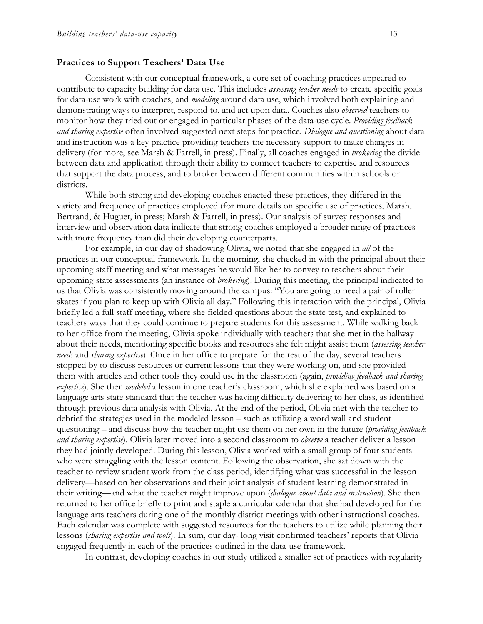#### **Practices to Support Teachers' Data Use**

Consistent with our conceptual framework, a core set of coaching practices appeared to contribute to capacity building for data use. This includes *assessing teacher needs* to create specific goals for data-use work with coaches, and *modeling* around data use, which involved both explaining and demonstrating ways to interpret, respond to, and act upon data. Coaches also *observed* teachers to monitor how they tried out or engaged in particular phases of the data-use cycle. *Providing feedback and sharing expertise* often involved suggested next steps for practice. *Dialogue and questioning* about data and instruction was a key practice providing teachers the necessary support to make changes in delivery (for more, see Marsh & Farrell, in press). Finally, all coaches engaged in *brokering* the divide between data and application through their ability to connect teachers to expertise and resources that support the data process, and to broker between different communities within schools or districts.

While both strong and developing coaches enacted these practices, they differed in the variety and frequency of practices employed (for more details on specific use of practices, Marsh, Bertrand, & Huguet, in press; Marsh & Farrell, in press). Our analysis of survey responses and interview and observation data indicate that strong coaches employed a broader range of practices with more frequency than did their developing counterparts.

For example, in our day of shadowing Olivia, we noted that she engaged in *all* of the practices in our conceptual framework. In the morning, she checked in with the principal about their upcoming staff meeting and what messages he would like her to convey to teachers about their upcoming state assessments (an instance of *brokering*). During this meeting, the principal indicated to us that Olivia was consistently moving around the campus: "You are going to need a pair of roller skates if you plan to keep up with Olivia all day." Following this interaction with the principal, Olivia briefly led a full staff meeting, where she fielded questions about the state test, and explained to teachers ways that they could continue to prepare students for this assessment. While walking back to her office from the meeting, Olivia spoke individually with teachers that she met in the hallway about their needs, mentioning specific books and resources she felt might assist them (*assessing teacher needs* and *sharing expertise*). Once in her office to prepare for the rest of the day, several teachers stopped by to discuss resources or current lessons that they were working on, and she provided them with articles and other tools they could use in the classroom (again, *providing feedback and sharing expertise*). She then *modeled* a lesson in one teacher's classroom, which she explained was based on a language arts state standard that the teacher was having difficulty delivering to her class, as identified through previous data analysis with Olivia. At the end of the period, Olivia met with the teacher to debrief the strategies used in the modeled lesson – such as utilizing a word wall and student questioning – and discuss how the teacher might use them on her own in the future (*providing feedback and sharing expertise*). Olivia later moved into a second classroom to *observe* a teacher deliver a lesson they had jointly developed. During this lesson, Olivia worked with a small group of four students who were struggling with the lesson content. Following the observation, she sat down with the teacher to review student work from the class period, identifying what was successful in the lesson delivery—based on her observations and their joint analysis of student learning demonstrated in their writing—and what the teacher might improve upon (*dialogue about data and instruction*). She then returned to her office briefly to print and staple a curricular calendar that she had developed for the language arts teachers during one of the monthly district meetings with other instructional coaches. Each calendar was complete with suggested resources for the teachers to utilize while planning their lessons (*sharing expertise and tools*). In sum, our day- long visit confirmed teachers' reports that Olivia engaged frequently in each of the practices outlined in the data-use framework.

In contrast, developing coaches in our study utilized a smaller set of practices with regularity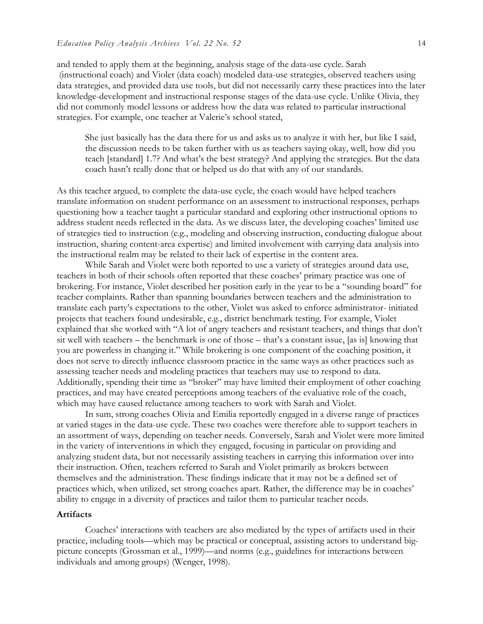and tended to apply them at the beginning, analysis stage of the data-use cycle. Sarah (instructional coach) and Violet (data coach) modeled data-use strategies, observed teachers using data strategies, and provided data use tools, but did not necessarily carry these practices into the later knowledge-development and instructional response stages of the data-use cycle. Unlike Olivia, they did not commonly model lessons or address how the data was related to particular instructional strategies. For example, one teacher at Valerie's school stated,

She just basically has the data there for us and asks us to analyze it with her, but like I said, the discussion needs to be taken further with us as teachers saying okay, well, how did you teach [standard] 1.7? And what's the best strategy? And applying the strategies. But the data coach hasn't really done that or helped us do that with any of our standards.

As this teacher argued, to complete the data-use cycle, the coach would have helped teachers translate information on student performance on an assessment to instructional responses, perhaps questioning how a teacher taught a particular standard and exploring other instructional options to address student needs reflected in the data. As we discuss later, the developing coaches' limited use of strategies tied to instruction (e.g., modeling and observing instruction, conducting dialogue about instruction, sharing content-area expertise) and limited involvement with carrying data analysis into the instructional realm may be related to their lack of expertise in the content area.

While Sarah and Violet were both reported to use a variety of strategies around data use, teachers in both of their schools often reported that these coaches' primary practice was one of brokering. For instance, Violet described her position early in the year to be a "sounding board" for teacher complaints. Rather than spanning boundaries between teachers and the administration to translate each party's expectations to the other, Violet was asked to enforce administrator- initiated projects that teachers found undesirable, e.g., district benchmark testing. For example, Violet explained that she worked with "A lot of angry teachers and resistant teachers, and things that don't sit well with teachers – the benchmark is one of those – that's a constant issue, [as is] knowing that you are powerless in changing it." While brokering is one component of the coaching position, it does not serve to directly influence classroom practice in the same ways as other practices such as assessing teacher needs and modeling practices that teachers may use to respond to data. Additionally, spending their time as "broker" may have limited their employment of other coaching practices, and may have created perceptions among teachers of the evaluative role of the coach, which may have caused reluctance among teachers to work with Sarah and Violet.

In sum, strong coaches Olivia and Emilia reportedly engaged in a diverse range of practices at varied stages in the data-use cycle. These two coaches were therefore able to support teachers in an assortment of ways, depending on teacher needs. Conversely, Sarah and Violet were more limited in the variety of interventions in which they engaged, focusing in particular on providing and analyzing student data, but not necessarily assisting teachers in carrying this information over into their instruction. Often, teachers referred to Sarah and Violet primarily as brokers between themselves and the administration. These findings indicate that it may not be a defined set of practices which, when utilized, set strong coaches apart. Rather, the difference may be in coaches' ability to engage in a diversity of practices and tailor them to particular teacher needs.

#### **Artifacts**

Coaches' interactions with teachers are also mediated by the types of artifacts used in their practice, including tools—which may be practical or conceptual, assisting actors to understand bigpicture concepts (Grossman et al., 1999)—and norms (e.g., guidelines for interactions between individuals and among groups) (Wenger, 1998).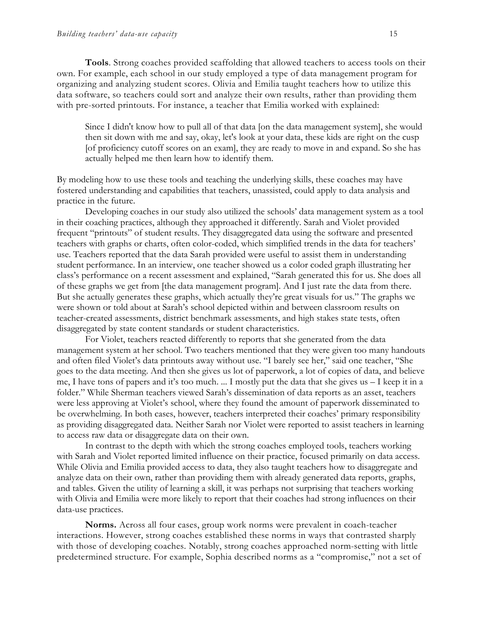**Tools**. Strong coaches provided scaffolding that allowed teachers to access tools on their own. For example, each school in our study employed a type of data management program for organizing and analyzing student scores. Olivia and Emilia taught teachers how to utilize this data software, so teachers could sort and analyze their own results, rather than providing them with pre-sorted printouts. For instance, a teacher that Emilia worked with explained:

Since I didn't know how to pull all of that data [on the data management system], she would then sit down with me and say, okay, let's look at your data, these kids are right on the cusp [of proficiency cutoff scores on an exam], they are ready to move in and expand. So she has actually helped me then learn how to identify them.

By modeling how to use these tools and teaching the underlying skills, these coaches may have fostered understanding and capabilities that teachers, unassisted, could apply to data analysis and practice in the future.

Developing coaches in our study also utilized the schools' data management system as a tool in their coaching practices, although they approached it differently. Sarah and Violet provided frequent "printouts" of student results. They disaggregated data using the software and presented teachers with graphs or charts, often color-coded, which simplified trends in the data for teachers' use. Teachers reported that the data Sarah provided were useful to assist them in understanding student performance. In an interview, one teacher showed us a color coded graph illustrating her class's performance on a recent assessment and explained, "Sarah generated this for us. She does all of these graphs we get from [the data management program]. And I just rate the data from there. But she actually generates these graphs, which actually they're great visuals for us." The graphs we were shown or told about at Sarah's school depicted within and between classroom results on teacher-created assessments, district benchmark assessments, and high stakes state tests, often disaggregated by state content standards or student characteristics.

For Violet, teachers reacted differently to reports that she generated from the data management system at her school. Two teachers mentioned that they were given too many handouts and often filed Violet's data printouts away without use. "I barely see her," said one teacher, "She goes to the data meeting. And then she gives us lot of paperwork, a lot of copies of data, and believe me, I have tons of papers and it's too much. ... I mostly put the data that she gives us – I keep it in a folder." While Sherman teachers viewed Sarah's dissemination of data reports as an asset, teachers were less approving at Violet's school, where they found the amount of paperwork disseminated to be overwhelming. In both cases, however, teachers interpreted their coaches' primary responsibility as providing disaggregated data. Neither Sarah nor Violet were reported to assist teachers in learning to access raw data or disaggregate data on their own.

In contrast to the depth with which the strong coaches employed tools, teachers working with Sarah and Violet reported limited influence on their practice, focused primarily on data access. While Olivia and Emilia provided access to data, they also taught teachers how to disaggregate and analyze data on their own, rather than providing them with already generated data reports, graphs, and tables. Given the utility of learning a skill, it was perhaps not surprising that teachers working with Olivia and Emilia were more likely to report that their coaches had strong influences on their data-use practices.

**Norms.** Across all four cases, group work norms were prevalent in coach-teacher interactions. However, strong coaches established these norms in ways that contrasted sharply with those of developing coaches. Notably, strong coaches approached norm-setting with little predetermined structure. For example, Sophia described norms as a "compromise," not a set of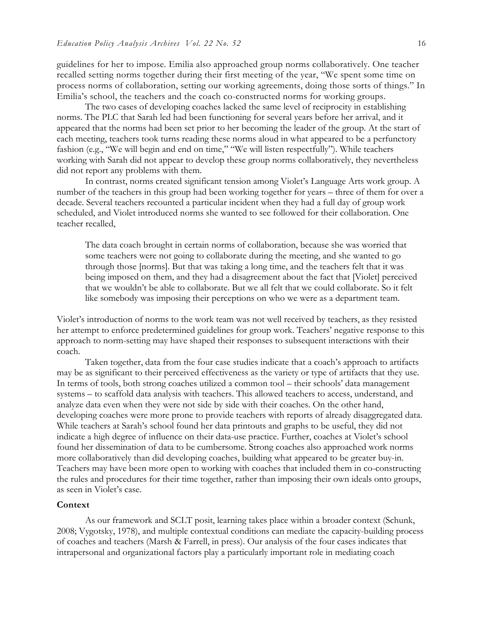guidelines for her to impose. Emilia also approached group norms collaboratively. One teacher recalled setting norms together during their first meeting of the year, "We spent some time on process norms of collaboration, setting our working agreements, doing those sorts of things." In Emilia's school, the teachers and the coach co-constructed norms for working groups.

The two cases of developing coaches lacked the same level of reciprocity in establishing norms. The PLC that Sarah led had been functioning for several years before her arrival, and it appeared that the norms had been set prior to her becoming the leader of the group. At the start of each meeting, teachers took turns reading these norms aloud in what appeared to be a perfunctory fashion (e.g., "We will begin and end on time," "We will listen respectfully"). While teachers working with Sarah did not appear to develop these group norms collaboratively, they nevertheless did not report any problems with them.

In contrast, norms created significant tension among Violet's Language Arts work group. A number of the teachers in this group had been working together for years – three of them for over a decade. Several teachers recounted a particular incident when they had a full day of group work scheduled, and Violet introduced norms she wanted to see followed for their collaboration. One teacher recalled,

The data coach brought in certain norms of collaboration, because she was worried that some teachers were not going to collaborate during the meeting, and she wanted to go through those [norms]. But that was taking a long time, and the teachers felt that it was being imposed on them, and they had a disagreement about the fact that [Violet] perceived that we wouldn't be able to collaborate. But we all felt that we could collaborate. So it felt like somebody was imposing their perceptions on who we were as a department team.

Violet's introduction of norms to the work team was not well received by teachers, as they resisted her attempt to enforce predetermined guidelines for group work. Teachers' negative response to this approach to norm-setting may have shaped their responses to subsequent interactions with their coach.

Taken together, data from the four case studies indicate that a coach's approach to artifacts may be as significant to their perceived effectiveness as the variety or type of artifacts that they use. In terms of tools, both strong coaches utilized a common tool – their schools' data management systems – to scaffold data analysis with teachers. This allowed teachers to access, understand, and analyze data even when they were not side by side with their coaches. On the other hand, developing coaches were more prone to provide teachers with reports of already disaggregated data. While teachers at Sarah's school found her data printouts and graphs to be useful, they did not indicate a high degree of influence on their data-use practice. Further, coaches at Violet's school found her dissemination of data to be cumbersome. Strong coaches also approached work norms more collaboratively than did developing coaches, building what appeared to be greater buy-in. Teachers may have been more open to working with coaches that included them in co-constructing the rules and procedures for their time together, rather than imposing their own ideals onto groups, as seen in Violet's case.

#### **Context**

As our framework and SCLT posit, learning takes place within a broader context (Schunk, 2008; Vygotsky, 1978), and multiple contextual conditions can mediate the capacity-building process of coaches and teachers (Marsh & Farrell, in press). Our analysis of the four cases indicates that intrapersonal and organizational factors play a particularly important role in mediating coach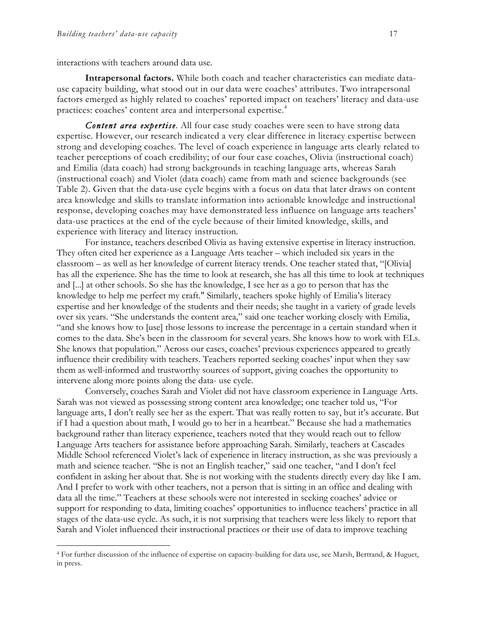interactions with teachers around data use.

**Intrapersonal factors.** While both coach and teacher characteristics can mediate datause capacity building, what stood out in our data were coaches' attributes. Two intrapersonal factors emerged as highly related to coaches' reported impact on teachers' literacy and data-use practices: coaches' content area and interpersonal expertise.<sup>4</sup>

*Content area expertise.* All four case study coaches were seen to have strong data expertise. However, our research indicated a very clear difference in literacy expertise between strong and developing coaches. The level of coach experience in language arts clearly related to teacher perceptions of coach credibility; of our four case coaches, Olivia (instructional coach) and Emilia (data coach) had strong backgrounds in teaching language arts, whereas Sarah (instructional coach) and Violet (data coach) came from math and science backgrounds (see Table 2). Given that the data-use cycle begins with a focus on data that later draws on content area knowledge and skills to translate information into actionable knowledge and instructional response, developing coaches may have demonstrated less influence on language arts teachers' data-use practices at the end of the cycle because of their limited knowledge, skills, and experience with literacy and literacy instruction*.*

For instance, teachers described Olivia as having extensive expertise in literacy instruction. They often cited her experience as a Language Arts teacher – which included six years in the classroom – as well as her knowledge of current literacy trends. One teacher stated that, "[Olivia] has all the experience. She has the time to look at research, she has all this time to look at techniques and [...] at other schools. So she has the knowledge, I see her as a go to person that has the knowledge to help me perfect my craft." Similarly, teachers spoke highly of Emilia's literacy expertise and her knowledge of the students and their needs; she taught in a variety of grade levels over six years. "She understands the content area," said one teacher working closely with Emilia, "and she knows how to [use] those lessons to increase the percentage in a certain standard when it comes to the data. She's been in the classroom for several years. She knows how to work with ELs. She knows that population." Across our cases, coaches' previous experiences appeared to greatly influence their credibility with teachers. Teachers reported seeking coaches' input when they saw them as well-informed and trustworthy sources of support, giving coaches the opportunity to intervene along more points along the data- use cycle.

Conversely, coaches Sarah and Violet did not have classroom experience in Language Arts. Sarah was not viewed as possessing strong content area knowledge; one teacher told us, "For language arts, I don't really see her as the expert. That was really rotten to say, but it's accurate. But if I had a question about math, I would go to her in a heartbeat." Because she had a mathematics background rather than literacy experience, teachers noted that they would reach out to fellow Language Arts teachers for assistance before approaching Sarah. Similarly, teachers at Cascades Middle School referenced Violet's lack of experience in literacy instruction, as she was previously a math and science teacher. "She is not an English teacher," said one teacher, "and I don't feel confident in asking her about that. She is not working with the students directly every day like I am. And I prefer to work with other teachers, not a person that is sitting in an office and dealing with data all the time." Teachers at these schools were not interested in seeking coaches' advice or support for responding to data, limiting coaches' opportunities to influence teachers' practice in all stages of the data-use cycle. As such, it is not surprising that teachers were less likely to report that Sarah and Violet influenced their instructional practices or their use of data to improve teaching

 <sup>4</sup> For further discussion of the influence of expertise on capacity-building for data use, see Marsh, Bertrand, & Huguet, in press.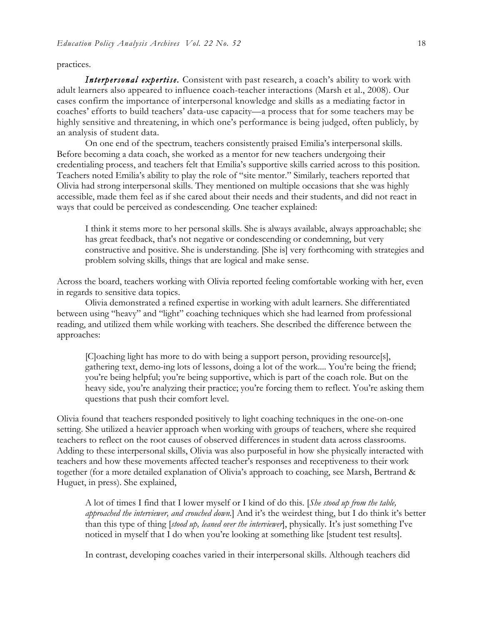#### practices.

*Interpersonal expertise.* Consistent with past research, a coach's ability to work with adult learners also appeared to influence coach-teacher interactions (Marsh et al., 2008). Our cases confirm the importance of interpersonal knowledge and skills as a mediating factor in coaches' efforts to build teachers' data-use capacity—a process that for some teachers may be highly sensitive and threatening, in which one's performance is being judged, often publicly, by an analysis of student data.

On one end of the spectrum, teachers consistently praised Emilia's interpersonal skills. Before becoming a data coach, she worked as a mentor for new teachers undergoing their credentialing process, and teachers felt that Emilia's supportive skills carried across to this position. Teachers noted Emilia's ability to play the role of "site mentor." Similarly, teachers reported that Olivia had strong interpersonal skills. They mentioned on multiple occasions that she was highly accessible, made them feel as if she cared about their needs and their students, and did not react in ways that could be perceived as condescending. One teacher explained:

I think it stems more to her personal skills. She is always available, always approachable; she has great feedback, that's not negative or condescending or condemning, but very constructive and positive. She is understanding. [She is] very forthcoming with strategies and problem solving skills, things that are logical and make sense.

Across the board, teachers working with Olivia reported feeling comfortable working with her, even in regards to sensitive data topics.

Olivia demonstrated a refined expertise in working with adult learners. She differentiated between using "heavy" and "light" coaching techniques which she had learned from professional reading, and utilized them while working with teachers. She described the difference between the approaches:

[C]oaching light has more to do with being a support person, providing resource[s], gathering text, demo-ing lots of lessons, doing a lot of the work.... You're being the friend; you're being helpful; you're being supportive, which is part of the coach role. But on the heavy side, you're analyzing their practice; you're forcing them to reflect. You're asking them questions that push their comfort level.

Olivia found that teachers responded positively to light coaching techniques in the one-on-one setting. She utilized a heavier approach when working with groups of teachers, where she required teachers to reflect on the root causes of observed differences in student data across classrooms. Adding to these interpersonal skills, Olivia was also purposeful in how she physically interacted with teachers and how these movements affected teacher's responses and receptiveness to their work together (for a more detailed explanation of Olivia's approach to coaching, see Marsh, Bertrand & Huguet, in press). She explained,

A lot of times I find that I lower myself or I kind of do this. [*She stood up from the table, approached the interviewer, and crouched down.*] And it's the weirdest thing, but I do think it's better than this type of thing [*stood up, leaned over the interviewer*], physically. It's just something I've noticed in myself that I do when you're looking at something like [student test results].

In contrast, developing coaches varied in their interpersonal skills. Although teachers did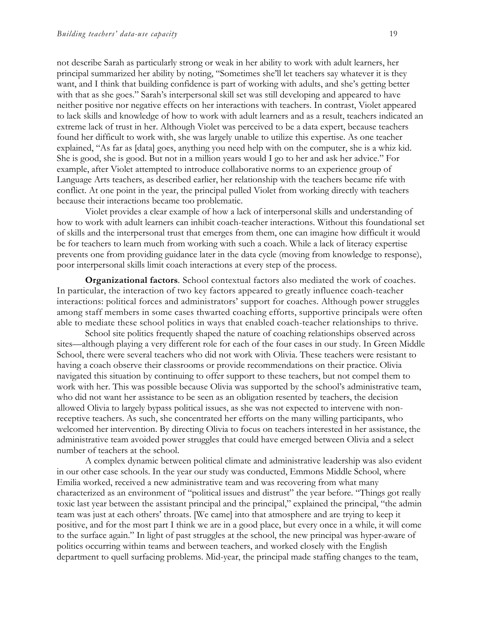not describe Sarah as particularly strong or weak in her ability to work with adult learners, her principal summarized her ability by noting, "Sometimes she'll let teachers say whatever it is they want, and I think that building confidence is part of working with adults, and she's getting better with that as she goes." Sarah's interpersonal skill set was still developing and appeared to have neither positive nor negative effects on her interactions with teachers. In contrast, Violet appeared to lack skills and knowledge of how to work with adult learners and as a result, teachers indicated an extreme lack of trust in her. Although Violet was perceived to be a data expert, because teachers found her difficult to work with, she was largely unable to utilize this expertise. As one teacher explained, "As far as [data] goes, anything you need help with on the computer, she is a whiz kid. She is good, she is good. But not in a million years would I go to her and ask her advice." For example, after Violet attempted to introduce collaborative norms to an experience group of Language Arts teachers, as described earlier, her relationship with the teachers became rife with conflict. At one point in the year, the principal pulled Violet from working directly with teachers because their interactions became too problematic.

Violet provides a clear example of how a lack of interpersonal skills and understanding of how to work with adult learners can inhibit coach-teacher interactions. Without this foundational set of skills and the interpersonal trust that emerges from them, one can imagine how difficult it would be for teachers to learn much from working with such a coach. While a lack of literacy expertise prevents one from providing guidance later in the data cycle (moving from knowledge to response), poor interpersonal skills limit coach interactions at every step of the process.

**Organizational factors***.* School contextual factors also mediated the work of coaches. In particular, the interaction of two key factors appeared to greatly influence coach-teacher interactions: political forces and administrators' support for coaches. Although power struggles among staff members in some cases thwarted coaching efforts, supportive principals were often able to mediate these school politics in ways that enabled coach-teacher relationships to thrive.

School site politics frequently shaped the nature of coaching relationships observed across sites—although playing a very different role for each of the four cases in our study. In Green Middle School, there were several teachers who did not work with Olivia. These teachers were resistant to having a coach observe their classrooms or provide recommendations on their practice. Olivia navigated this situation by continuing to offer support to these teachers, but not compel them to work with her. This was possible because Olivia was supported by the school's administrative team, who did not want her assistance to be seen as an obligation resented by teachers, the decision allowed Olivia to largely bypass political issues, as she was not expected to intervene with nonreceptive teachers. As such, she concentrated her efforts on the many willing participants, who welcomed her intervention. By directing Olivia to focus on teachers interested in her assistance, the administrative team avoided power struggles that could have emerged between Olivia and a select number of teachers at the school.

A complex dynamic between political climate and administrative leadership was also evident in our other case schools. In the year our study was conducted, Emmons Middle School, where Emilia worked, received a new administrative team and was recovering from what many characterized as an environment of "political issues and distrust" the year before. "Things got really toxic last year between the assistant principal and the principal," explained the principal, "the admin team was just at each others' throats. [We came] into that atmosphere and are trying to keep it positive, and for the most part I think we are in a good place, but every once in a while, it will come to the surface again." In light of past struggles at the school, the new principal was hyper-aware of politics occurring within teams and between teachers, and worked closely with the English department to quell surfacing problems. Mid-year, the principal made staffing changes to the team,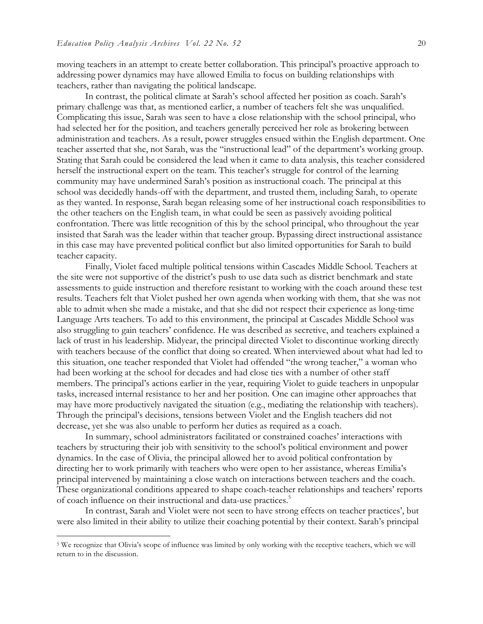moving teachers in an attempt to create better collaboration. This principal's proactive approach to addressing power dynamics may have allowed Emilia to focus on building relationships with teachers, rather than navigating the political landscape.

In contrast, the political climate at Sarah's school affected her position as coach. Sarah's primary challenge was that, as mentioned earlier, a number of teachers felt she was unqualified. Complicating this issue, Sarah was seen to have a close relationship with the school principal, who had selected her for the position, and teachers generally perceived her role as brokering between administration and teachers. As a result, power struggles ensued within the English department. One teacher asserted that she, not Sarah, was the "instructional lead" of the department's working group. Stating that Sarah could be considered the lead when it came to data analysis, this teacher considered herself the instructional expert on the team. This teacher's struggle for control of the learning community may have undermined Sarah's position as instructional coach. The principal at this school was decidedly hands-off with the department, and trusted them, including Sarah, to operate as they wanted. In response, Sarah began releasing some of her instructional coach responsibilities to the other teachers on the English team, in what could be seen as passively avoiding political confrontation. There was little recognition of this by the school principal, who throughout the year insisted that Sarah was the leader within that teacher group. Bypassing direct instructional assistance in this case may have prevented political conflict but also limited opportunities for Sarah to build teacher capacity.

Finally, Violet faced multiple political tensions within Cascades Middle School. Teachers at the site were not supportive of the district's push to use data such as district benchmark and state assessments to guide instruction and therefore resistant to working with the coach around these test results. Teachers felt that Violet pushed her own agenda when working with them, that she was not able to admit when she made a mistake, and that she did not respect their experience as long-time Language Arts teachers. To add to this environment, the principal at Cascades Middle School was also struggling to gain teachers' confidence. He was described as secretive, and teachers explained a lack of trust in his leadership. Midyear, the principal directed Violet to discontinue working directly with teachers because of the conflict that doing so created. When interviewed about what had led to this situation, one teacher responded that Violet had offended "the wrong teacher," a woman who had been working at the school for decades and had close ties with a number of other staff members. The principal's actions earlier in the year, requiring Violet to guide teachers in unpopular tasks, increased internal resistance to her and her position. One can imagine other approaches that may have more productively navigated the situation (e.g., mediating the relationship with teachers). Through the principal's decisions, tensions between Violet and the English teachers did not decrease, yet she was also unable to perform her duties as required as a coach.

In summary, school administrators facilitated or constrained coaches' interactions with teachers by structuring their job with sensitivity to the school's political environment and power dynamics. In the case of Olivia, the principal allowed her to avoid political confrontation by directing her to work primarily with teachers who were open to her assistance, whereas Emilia's principal intervened by maintaining a close watch on interactions between teachers and the coach. These organizational conditions appeared to shape coach-teacher relationships and teachers' reports of coach influence on their instructional and data-use practices. 5

In contrast, Sarah and Violet were not seen to have strong effects on teacher practices', but were also limited in their ability to utilize their coaching potential by their context. Sarah's principal

 <sup>5</sup> We recognize that Olivia's scope of influence was limited by only working with the receptive teachers, which we will return to in the discussion.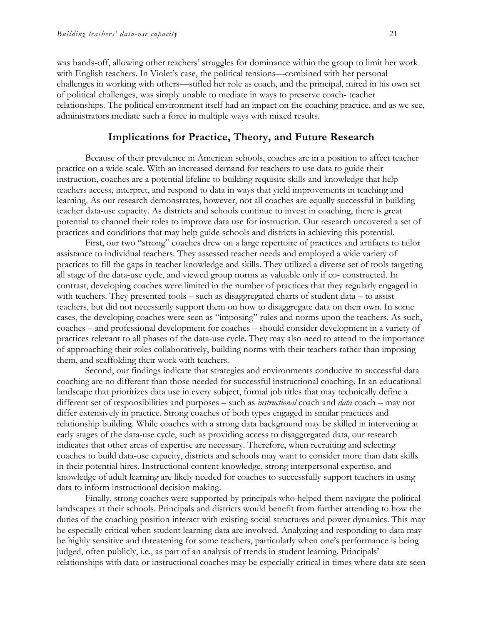was hands-off, allowing other teachers' struggles for dominance within the group to limit her work with English teachers. In Violet's case, the political tensions—combined with her personal challenges in working with others—stifled her role as coach, and the principal, mired in his own set of political challenges, was simply unable to mediate in ways to preserve coach- teacher relationships. The political environment itself had an impact on the coaching practice, and as we see, administrators mediate such a force in multiple ways with mixed results.

## **Implications for Practice, Theory, and Future Research**

Because of their prevalence in American schools, coaches are in a position to affect teacher practice on a wide scale. With an increased demand for teachers to use data to guide their instruction, coaches are a potential lifeline to building requisite skills and knowledge that help teachers access, interpret, and respond to data in ways that yield improvements in teaching and learning. As our research demonstrates, however, not all coaches are equally successful in building teacher data-use capacity. As districts and schools continue to invest in coaching, there is great potential to channel their roles to improve data use for instruction. Our research uncovered a set of practices and conditions that may help guide schools and districts in achieving this potential.

First, our two "strong" coaches drew on a large repertoire of practices and artifacts to tailor assistance to individual teachers. They assessed teacher needs and employed a wide variety of practices to fill the gaps in teacher knowledge and skills. They utilized a diverse set of tools targeting all stage of the data-use cycle, and viewed group norms as valuable only if co- constructed. In contrast, developing coaches were limited in the number of practices that they regularly engaged in with teachers. They presented tools – such as disaggregated charts of student data – to assist teachers, but did not necessarily support them on how to disaggregate data on their own. In some cases, the developing coaches were seen as "imposing" rules and norms upon the teachers. As such, coaches – and professional development for coaches – should consider development in a variety of practices relevant to all phases of the data-use cycle. They may also need to attend to the importance of approaching their roles collaboratively, building norms with their teachers rather than imposing them, and scaffolding their work with teachers.

Second, our findings indicate that strategies and environments conducive to successful data coaching are no different than those needed for successful instructional coaching. In an educational landscape that prioritizes data use in every subject, formal job titles that may technically define a different set of responsibilities and purposes – such as *instructional* coach and *data* coach – may not differ extensively in practice. Strong coaches of both types engaged in similar practices and relationship building. While coaches with a strong data background may be skilled in intervening at early stages of the data-use cycle, such as providing access to disaggregated data, our research indicates that other areas of expertise are necessary. Therefore, when recruiting and selecting coaches to build data-use capacity, districts and schools may want to consider more than data skills in their potential hires. Instructional content knowledge, strong interpersonal expertise, and knowledge of adult learning are likely needed for coaches to successfully support teachers in using data to inform instructional decision making.

Finally, strong coaches were supported by principals who helped them navigate the political landscapes at their schools. Principals and districts would benefit from further attending to how the duties of the coaching position interact with existing social structures and power dynamics. This may be especially critical when student learning data are involved. Analyzing and responding to data may be highly sensitive and threatening for some teachers, particularly when one's performance is being judged, often publicly, i.e., as part of an analysis of trends in student learning. Principals' relationships with data or instructional coaches may be especially critical in times where data are seen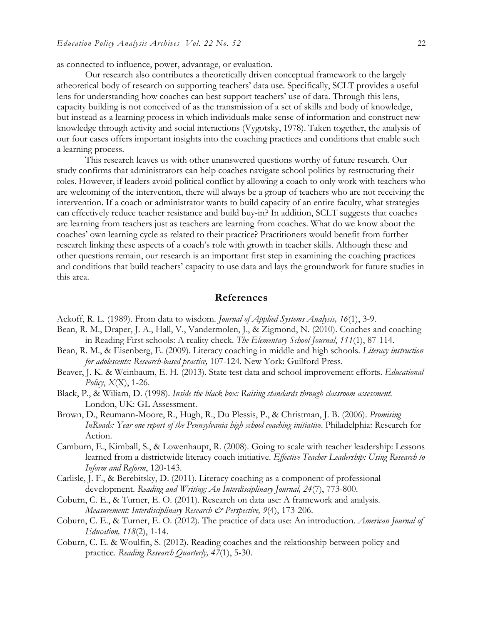as connected to influence, power, advantage, or evaluation.

Our research also contributes a theoretically driven conceptual framework to the largely atheoretical body of research on supporting teachers' data use. Specifically, SCLT provides a useful lens for understanding how coaches can best support teachers' use of data. Through this lens, capacity building is not conceived of as the transmission of a set of skills and body of knowledge, but instead as a learning process in which individuals make sense of information and construct new knowledge through activity and social interactions (Vygotsky, 1978). Taken together, the analysis of our four cases offers important insights into the coaching practices and conditions that enable such a learning process.

This research leaves us with other unanswered questions worthy of future research. Our study confirms that administrators can help coaches navigate school politics by restructuring their roles. However, if leaders avoid political conflict by allowing a coach to only work with teachers who are welcoming of the intervention, there will always be a group of teachers who are not receiving the intervention. If a coach or administrator wants to build capacity of an entire faculty, what strategies can effectively reduce teacher resistance and build buy-in? In addition, SCLT suggests that coaches are learning from teachers just as teachers are learning from coaches. What do we know about the coaches' own learning cycle as related to their practice? Practitioners would benefit from further research linking these aspects of a coach's role with growth in teacher skills. Although these and other questions remain, our research is an important first step in examining the coaching practices and conditions that build teachers' capacity to use data and lays the groundwork for future studies in this area.

#### **References**

- Ackoff, R. L. (1989). From data to wisdom. *Journal of Applied Systems Analysis, 16*(1), 3-9.
- Bean, R. M., Draper, J. A., Hall, V., Vandermolen, J., & Zigmond, N. (2010). Coaches and coaching in Reading First schools: A reality check. *The Elementary School Journal*, *111*(1), 87-114.
- Bean, R. M., & Eisenberg, E. (2009). Literacy coaching in middle and high schools. *Literacy instruction for adolescents: Research-based practice,* 107-124. New York: Guilford Press.
- Beaver, J. K. & Weinbaum, E. H. (2013). State test data and school improvement efforts. *Educational Policy*, *X*(X), 1-26.
- Black, P., & Wiliam, D. (1998). *Inside the black box: Raising standards through classroom assessment*. London, UK: GL Assessment.
- Brown, D., Reumann-Moore, R., Hugh, R., Du Plessis, P., & Christman, J. B. (2006). *Promising InRoads: Year one report of the Pennsylvania high school coaching initiative*. Philadelphia: Research for Action.
- Camburn, E., Kimball, S., & Lowenhaupt, R. (2008). Going to scale with teacher leadership: Lessons learned from a districtwide literacy coach initiative. *Effective Teacher Leadership: Using Research to Inform and Reform*, 120-143.
- Carlisle, J. F., & Berebitsky, D. (2011). Literacy coaching as a component of professional development. *Reading and Writing: An Interdisciplinary Journal, 24*(7), 773-800.
- Coburn, C. E., & Turner, E. O. (2011). Research on data use: A framework and analysis. *Measurement: Interdisciplinary Research & Perspective, 9*(4), 173-206.
- Coburn, C. E., & Turner, E. O. (2012). The practice of data use: An introduction. *American Journal of Education, 118*(2), 1-14.
- Coburn, C. E. & Woulfin, S. (2012). Reading coaches and the relationship between policy and practice. *Reading Research Quarterly, 47*(1), 5-30.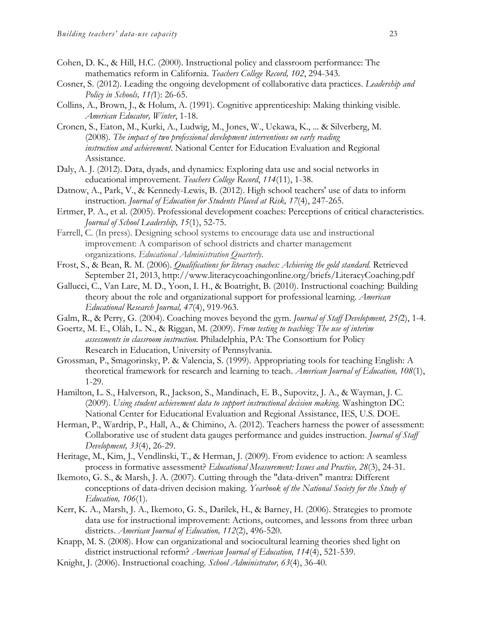- Cohen, D. K., & Hill, H.C. (2000). Instructional policy and classroom performance: The mathematics reform in California. *Teachers College Record, 102*, 294-343.
- Cosner, S. (2012). Leading the ongoing development of collaborative data practices. *Leadership and Policy in Schools, 11(*1): 26-65.
- Collins, A., Brown, J., & Holum, A. (1991). Cognitive apprenticeship: Making thinking visible. *American Educator, Winter*, 1-18.
- Cronen, S., Eaton, M., Kurki, A., Ludwig, M., Jones, W., Uekawa, K., ... & Silverberg, M. (2008). *The impact of two professional development interventions on early reading instruction and achievement*. National Center for Education Evaluation and Regional Assistance.
- Daly, A. J. (2012). Data, dyads, and dynamics: Exploring data use and social networks in educational improvement. *Teachers College Record*, *114*(11), 1-38.
- Datnow, A., Park, V., & Kennedy-Lewis, B. (2012). High school teachers' use of data to inform instruction. *Journal of Education for Students Placed at Risk, 17*(4), 247-265.
- Ertmer, P. A., et al. (2005). Professional development coaches: Perceptions of critical characteristics. *Journal of School Leadership, 15*(1), 52-75.
- Farrell, C. (In press). Designing school systems to encourage data use and instructional improvement: A comparison of school districts and charter management organizations. *Educational Administration Quarterly.*
- Frost, S., & Bean, R. M. (2006). *Qualifications for literacy coaches: Achieving the gold standard.* Retrieved September 21, 2013, http://www.literacycoachingonline.org/briefs/LiteracyCoaching.pdf
- Gallucci, C., Van Lare, M. D., Yoon, I. H., & Boatright, B. (2010). Instructional coaching: Building theory about the role and organizational support for professional learning. *American Educational Research Journal, 47*(4), 919-963.
- Galm, R., & Perry, G. (2004). Coaching moves beyond the gym. *Journal of Staff Development, 25(*2), 1-4.
- Goertz, M. E., Oláh, L. N., & Riggan, M. (2009). *From testing to teaching: The use of interim assessments in classroom instruction.* Philadelphia, PA: The Consortium for Policy Research in Education, University of Pennsylvania.
- Grossman, P., Smagorinsky, P. & Valencia, S. (1999). Appropriating tools for teaching English: A theoretical framework for research and learning to teach. *American Journal of Education, 108*(1), 1-29.
- Hamilton, L. S., Halverson, R., Jackson, S., Mandinach, E. B., Supovitz, J. A., & Wayman, J. C. (2009). *Using student achievement data to support instructional decision making.* Washington DC: National Center for Educational Evaluation and Regional Assistance, IES, U.S. DOE.
- Herman, P., Wardrip, P., Hall, A., & Chimino, A. (2012). Teachers harness the power of assessment: Collaborative use of student data gauges performance and guides instruction. *Journal of Staff Development, 33*(4), 26-29.
- Heritage, M., Kim, J., Vendlinski, T., & Herman, J. (2009). From evidence to action: A seamless process in formative assessment? *Educational Measurement: Issues and Practice, 28*(3), 24-31.
- Ikemoto, G. S., & Marsh, J. A. (2007). Cutting through the "data-driven" mantra: Different conceptions of data-driven decision making. *Yearbook of the National Society for the Study of Education, 106*(1).
- Kerr, K. A., Marsh, J. A., Ikemoto, G. S., Darilek, H., & Barney, H. (2006). Strategies to promote data use for instructional improvement: Actions, outcomes, and lessons from three urban districts. *American Journal of Education, 112*(2), 496-520.
- Knapp, M. S. (2008). How can organizational and sociocultural learning theories shed light on district instructional reform? *American Journal of Education, 114*(4), 521-539.
- Knight, J. (2006). Instructional coaching. *School Administrator, 63*(4), 36-40.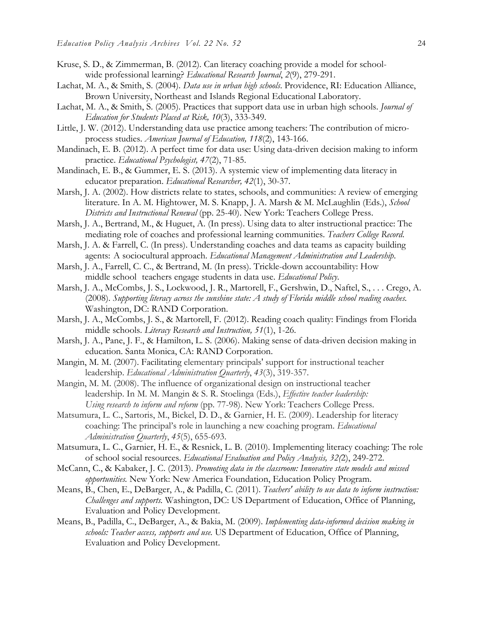- Kruse, S. D., & Zimmerman, B. (2012). Can literacy coaching provide a model for schoolwide professional learning? *Educational Research Journal*, *2*(9), 279-291.
- Lachat, M. A., & Smith, S. (2004). *Data use in urban high schools*. Providence, RI: Education Alliance, Brown University, Northeast and Islands Regional Educational Laboratory.
- Lachat, M. A., & Smith, S. (2005). Practices that support data use in urban high schools. *Journal of Education for Students Placed at Risk, 10*(3), 333-349.
- Little, J. W. (2012). Understanding data use practice among teachers: The contribution of microprocess studies. *American Journal of Education, 118*(2), 143-166.
- Mandinach, E. B. (2012). A perfect time for data use: Using data-driven decision making to inform practice. *Educational Psychologist, 47*(2), 71-85.
- Mandinach, E. B., & Gummer, E. S. (2013). A systemic view of implementing data literacy in educator preparation. *Educational Researcher, 42*(1), 30-37.
- Marsh, J. A. (2002). How districts relate to states, schools, and communities: A review of emerging literature. In A. M. Hightower, M. S. Knapp, J. A. Marsh & M. McLaughlin (Eds.), *School Districts and Instructional Renewal* (pp. 25-40). New York: Teachers College Press.
- Marsh, J. A., Bertrand, M., & Huguet, A. (In press). Using data to alter instructional practice: The mediating role of coaches and professional learning communities. *Teachers College Record*.
- Marsh, J. A. & Farrell, C. (In press). Understanding coaches and data teams as capacity building agents: A sociocultural approach. *Educational Management Administration and Leadership*.
- Marsh, J. A., Farrell, C. C., & Bertrand, M. (In press). Trickle-down accountability: How middle school teachers engage students in data use. *Educational Policy*.
- Marsh, J. A., McCombs, J. S., Lockwood, J. R., Martorell, F., Gershwin, D., Naftel, S., . . . Crego, A. (2008). *Supporting literacy across the sunshine state: A study of Florida middle school reading coaches.* Washington, DC: RAND Corporation.
- Marsh, J. A., McCombs, J. S., & Martorell, F. (2012). Reading coach quality: Findings from Florida middle schools. *Literacy Research and Instruction, 51*(1), 1-26.
- Marsh, J. A., Pane, J. F., & Hamilton, L. S. (2006). Making sense of data-driven decision making in education. Santa Monica, CA: RAND Corporation.
- Mangin, M. M. (2007). Facilitating elementary principals' support for instructional teacher leadership. *Educational Administration Quarterly*, *43*(3), 319-357.
- Mangin, M. M. (2008). The influence of organizational design on instructional teacher leadership. In M. M. Mangin & S. R. Stoelinga (Eds.), *Effective teacher leadership: Using research to inform and reform* (pp. 77-98). New York: Teachers College Press.
- Matsumura, L. C., Sartoris, M., Bickel, D. D., & Garnier, H. E. (2009). Leadership for literacy coaching: The principal's role in launching a new coaching program. *Educational Administration Quarterly*, *45*(5), 655-693.
- Matsumura, L. C., Garnier, H. E., & Resnick, L. B. (2010). Implementing literacy coaching: The role of school social resources. *Educational Evaluation and Policy Analysis, 32(*2), 249-272.
- McCann, C., & Kabaker, J. C. (2013). *Promoting data in the classroom: Innovative state models and missed opportunities.* New York: New America Foundation, Education Policy Program.
- Means, B., Chen, E., DeBarger, A., & Padilla, C. (2011). *Teachers' ability to use data to inform instruction: Challenges and supports.* Washington, DC: US Department of Education, Office of Planning, Evaluation and Policy Development.
- Means, B., Padilla, C., DeBarger, A., & Bakia, M. (2009). *Implementing data-informed decision making in schools: Teacher access, supports and use.* US Department of Education, Office of Planning, Evaluation and Policy Development.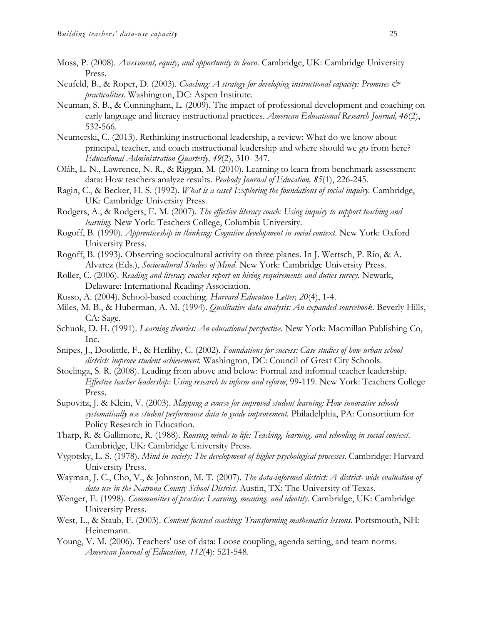- Moss, P. (2008). *Assessment, equity, and opportunity to learn.* Cambridge, UK: Cambridge University Press.
- Neufeld, B., & Roper, D. (2003). *Coaching: A strategy for developing instructional capacity: Promises & practicalities.* Washington, DC: Aspen Institute.
- Neuman, S. B., & Cunningham, L. (2009). The impact of professional development and coaching on early language and literacy instructional practices. *American Educational Research Journal, 46*(2), 532-566.
- Neumerski, C. (2013). Rethinking instructional leadership, a review: What do we know about principal, teacher, and coach instructional leadership and where should we go from here? *Educational Administration Quarterly, 49*(2), 310- 347.
- Oláh, L. N., Lawrence, N. R., & Riggan, M. (2010). Learning to learn from benchmark assessment data: How teachers analyze results. *Peabody Journal of Education, 85*(1), 226-245.
- Ragin, C., & Becker, H. S. (1992). *What is a case? Exploring the foundations of social inquiry.* Cambridge, UK: Cambridge University Press.
- Rodgers, A., & Rodgers, E. M. (2007). *The effective literacy coach: Using inquiry to support teaching and learning.* New York: Teachers College, Columbia University.
- Rogoff, B. (1990). *Apprenticeship in thinking: Cognitive development in social context*. New York: Oxford University Press.
- Rogoff, B. (1993). Observing sociocultural activity on three planes. In J. Wertsch, P. Rio, & A. Alvarez (Eds.), *Sociocultural Studies of Mind*. New York: Cambridge University Press.
- Roller, C. (2006). *Reading and literacy coaches report on hiring requirements and duties survey.* Newark, Delaware: International Reading Association.
- Russo, A. (2004). School-based coaching. *Harvard Education Letter, 20*(4), 1-4.
- Miles, M. B., & Huberman, A. M. (1994). *Qualitative data analysis: An expanded sourcebook*. Beverly Hills, CA: Sage.
- Schunk, D. H. (1991). *Learning theories: An educational perspective*. New York: Macmillan Publishing Co, Inc.
- Snipes, J., Doolittle, F., & Herlihy, C. (2002). *Foundations for success: Case studies of how urban school districts improve student achievement.* Washington, DC: Council of Great City Schools.
- Stoelinga, S. R. (2008). Leading from above and below: Formal and informal teacher leadership. *Effective teacher leadership: Using research to inform and reform*, 99-119. New York: Teachers College Press.
- Supovitz, J. & Klein, V. (2003). *Mapping a course for improved student learning: How innovative schools systematically use student performance data to guide improvement.* Philadelphia, PA: Consortium for Policy Research in Education.
- Tharp, R. & Gallimore, R. (1988). *Rousing minds to life: Teaching, learning, and schooling in social context.*  Cambridge, UK: Cambridge University Press.
- Vygotsky, L. S. (1978). *Mind in society: The development of higher psychological processes*. Cambridge: Harvard University Press.
- Wayman, J. C., Cho, V., & Johnston, M. T. (2007). *The data-informed district: A district- wide evaluation of data use in the Natrona County School District.* Austin, TX: The University of Texas.
- Wenger, E. (1998). *Communities of practice: Learning, meaning, and identity*. Cambridge, UK: Cambridge University Press.
- West, L., & Staub, F. (2003). *Content focused coaching: Transforming mathematics lessons*. Portsmouth, NH: Heinemann.
- Young, V. M. (2006). Teachers' use of data: Loose coupling, agenda setting, and team norms. *American Journal of Education, 112*(4): 521-548.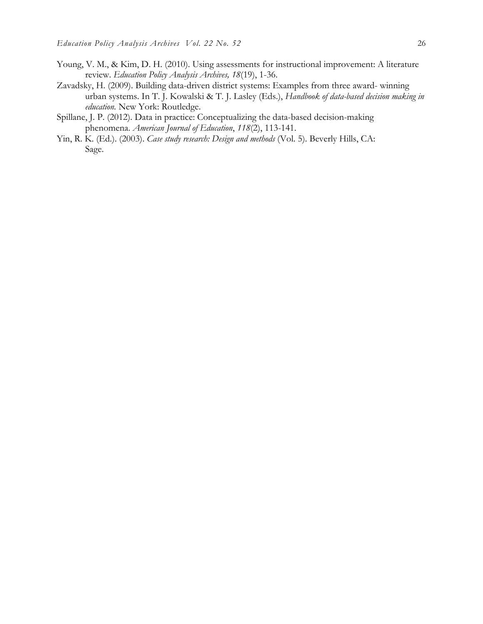- Young, V. M., & Kim, D. H. (2010). Using assessments for instructional improvement: A literature review. *Education Policy Analysis Archives, 18*(19), 1-36.
- Zavadsky, H. (2009). Building data-driven district systems: Examples from three award- winning urban systems. In T. J. Kowalski & T. J. Lasley (Eds.), *Handbook of data-based decision making in education.* New York: Routledge.
- Spillane, J. P. (2012). Data in practice: Conceptualizing the data-based decision-making phenomena. *American Journal of Education*, *118*(2), 113-141.
- Yin, R. K. (Ed.). (2003). *Case study research: Design and methods* (Vol. 5). Beverly Hills, CA: Sage.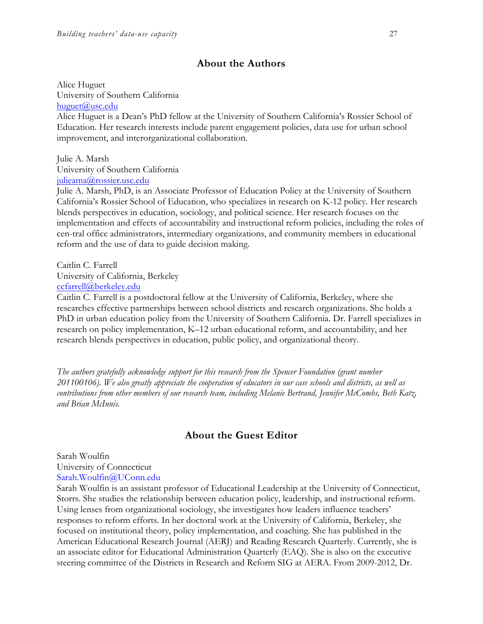## **About the Authors**

Alice Huguet University of Southern California huguet@usc.edu

Alice Huguet is a Dean's PhD fellow at the University of Southern California's Rossier School of Education. Her research interests include parent engagement policies, data use for urban school improvement, and interorganizational collaboration.

Julie A. Marsh

University of Southern California

julieama@rossier.usc.edu

Julie A. Marsh, PhD, is an Associate Professor of Education Policy at the University of Southern California's Rossier School of Education, who specializes in research on K-12 policy. Her research blends perspectives in education, sociology, and political science. Her research focuses on the implementation and effects of accountability and instructional reform policies, including the roles of central office administrators, intermediary organizations, and community members in educational reform and the use of data to guide decision making.

Caitlin C. Farrell University of California, Berkeley

ccfarrell@berkeley.edu

Caitlin C. Farrell is a postdoctoral fellow at the University of California, Berkeley, where she researches effective partnerships between school districts and research organizations. She holds a PhD in urban education policy from the University of Southern California. Dr. Farrell specializes in research on policy implementation, K–12 urban educational reform, and accountability, and her research blends perspectives in education, public policy, and organizational theory.

*The authors gratefully acknowledge support for this research from the Spencer Foundation (grant number 201100106). We also greatly appreciate the cooperation of educators in our case schools and districts, as well as contributions from other members of our research team, including Melanie Bertrand, Jennifer McCombs, Beth Katz, and Brian McInnis.* 

# **About the Guest Editor**

Sarah Woulfin University of Connecticut Sarah.Woulfin@UConn.edu

Sarah Woulfin is an assistant professor of Educational Leadership at the University of Connecticut, Storrs. She studies the relationship between education policy, leadership, and instructional reform. Using lenses from organizational sociology, she investigates how leaders influence teachers' responses to reform efforts. In her doctoral work at the University of California, Berkeley, she focused on institutional theory, policy implementation, and coaching. She has published in the American Educational Research Journal (AERJ) and Reading Research Quarterly. Currently, she is an associate editor for Educational Administration Quarterly (EAQ). She is also on the executive steering committee of the Districts in Research and Reform SIG at AERA. From 2009-2012, Dr.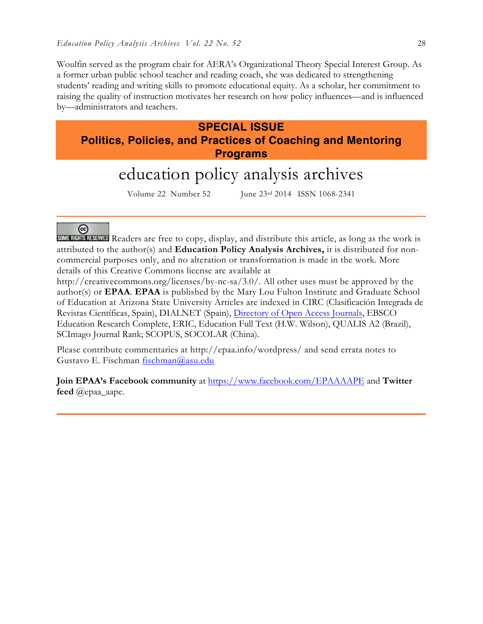Woulfin served as the program chair for AERA's Organizational Theory Special Interest Group. As a former urban public school teacher and reading coach, she was dedicated to strengthening students' reading and writing skills to promote educational equity. As a scholar, her commitment to raising the quality of instruction motivates her research on how policy influences—and is influenced by—administrators and teachers.

# **SPECIAL ISSUE**

**Politics, Policies, and Practices of Coaching and Mentoring Programs**

# education policy analysis archives

Volume 22 Number 52 June 23rd 2014 ISSN 1068-2341

@

SOME RIGHTS RESERVED Readers are free to copy, display, and distribute this article, as long as the work is attributed to the author(s) and **Education Policy Analysis Archives,** it is distributed for noncommercial purposes only, and no alteration or transformation is made in the work. More details of this Creative Commons license are available at

http://creativecommons.org/licenses/by-nc-sa/3.0/. All other uses must be approved by the author(s) or **EPAA**. **EPAA** is published by the Mary Lou Fulton Institute and Graduate School of Education at Arizona State University Articles are indexed in CIRC (Clasificación Integrada de Revistas Científicas, Spain), DIALNET (Spain), Directory of Open Access Journals, EBSCO Education Research Complete, ERIC, Education Full Text (H.W. Wilson), QUALIS A2 (Brazil), SCImago Journal Rank; SCOPUS, SOCOLAR (China).

Please contribute commentaries at http://epaa.info/wordpress/ and send errata notes to Gustavo E. Fischman fischman@asu.edu

**Join EPAA's Facebook community** at https://www.facebook.com/EPAAAAPE and **Twitter feed** @epaa\_aape.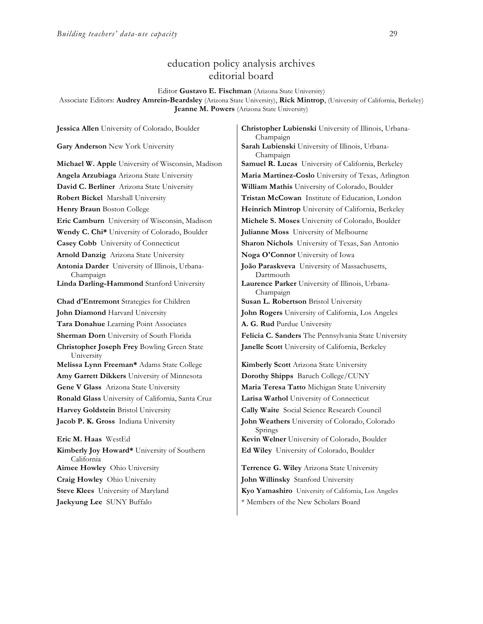# education policy analysis archives editorial board

#### Editor **Gustavo E. Fischman** (Arizona State University)

Associate Editors: **Audrey Amrein-Beardsley** (Arizona State University), **Rick Mintrop**, (University of California, Berkeley) **Jeanne M. Powers** (Arizona State University)

**Gary Anderson** New York University **Sarah Lubienski** University of Illinois, Urbana-**David C. Berliner** Arizona State University **William Mathis** University of Colorado, Boulder **Wendy C. Chi\*** University of Colorado, Boulder **Julianne Moss** University of Melbourne **Casey Cobb** University of Connecticut **Sharon Nichols** University of Texas, San Antonio **Arnold Danzig** Arizona State University **Noga O'Connor** University of Iowa **Antonia Darder** University of Illinois, Urbana-Champaign **Linda Darling-Hammond** Stanford University **Laurence Parker** University of Illinois, Urbana-**Chad d'Entremont** Strategies for Children **Susan L. Robertson** Bristol University **John Diamond** Harvard University **John Rogers** University of California, Los Angeles **Tara Donahue** Learning Point Associates **A. G. Rud** Purdue University **Christopher Joseph Frey** Bowling Green State University **Melissa Lynn Freeman\*** Adams State College **Kimberly Scott** Arizona State University **Amy Garrett Dikkers** University of Minnesota **Dorothy Shipps** Baruch College/CUNY **Gene V Glass** Arizona State University **Maria Teresa Tatto** Michigan State University **Ronald Glass** University of California, Santa Cruz **Larisa Warhol** University of Connecticut **Harvey Goldstein** Bristol University **Cally Waite** Social Science Research Council **Jacob P. K. Gross** Indiana University **John Weathers** University of Colorado, Colorado **Eric M. Haas** WestEd **Kevin Welner** University of Colorado, Boulder **Kimberly Joy Howard\*** University of Southern California **Aimee Howley** Ohio University **Terrence G. Wiley** Arizona State University **Craig Howley** Ohio University **John Willinsky** Stanford University **Steve Klees** University of Maryland **Kyo Yamashiro** University of California, Los Angeles

**Jessica Allen** University of Colorado, Boulder **Christopher Lubienski** University of Illinois, Urbana-Champaign Champaign **Michael W. Apple** University of Wisconsin, Madison **Samuel R. Lucas** University of California, Berkeley **Angela Arzubiaga** Arizona State University **Maria Martinez-Coslo** University of Texas, Arlington **Robert Bickel** Marshall University **Tristan McCowan** Institute of Education, London **Henry Braun** Boston College **Heinrich Mintrop** University of California, Berkeley **Eric Camburn** University of Wisconsin, Madison **Michele S. Moses** University of Colorado, Boulder **João Paraskveva** University of Massachusetts, Dartmouth Champaign **Sherman Dorn** University of South Florida **Felicia C. Sanders** The Pennsylvania State University **Janelle Scott** University of California, Berkeley Springs **Ed Wiley** University of Colorado, Boulder

**Jaekyung Lee** SUNY Buffalo \* \* Members of the New Scholars Board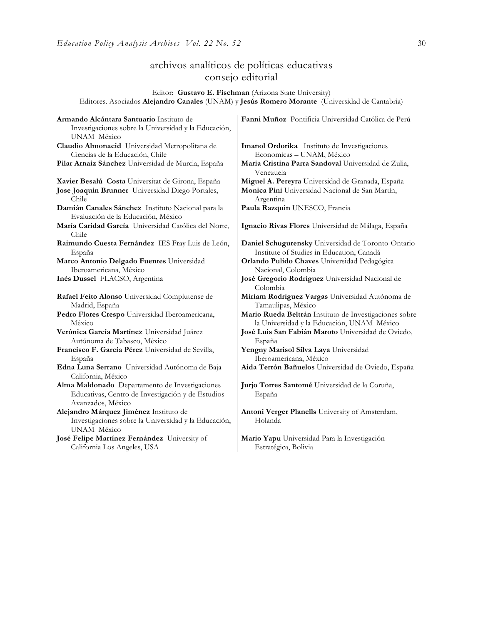# archivos analíticos de políticas educativas consejo editorial

Editor: **Gustavo E. Fischman** (Arizona State University) Editores. Asociados **Alejandro Canales** (UNAM) y **Jesús Romero Morante** (Universidad de Cantabria)

| Armando Alcántara Santuario Instituto de                                    | Fanni Muñoz Pontificia Universidad Católica de Perú                                                  |
|-----------------------------------------------------------------------------|------------------------------------------------------------------------------------------------------|
| Investigaciones sobre la Universidad y la Educación,                        |                                                                                                      |
| UNAM México                                                                 |                                                                                                      |
| Claudio Almonacid Universidad Metropolitana de                              | Imanol Ordorika Instituto de Investigaciones                                                         |
| Ciencias de la Educación, Chile                                             | Economicas - UNAM, México                                                                            |
| Pilar Arnaiz Sánchez Universidad de Murcia, España                          | Maria Cristina Parra Sandoval Universidad de Zulia,<br>Venezuela                                     |
| Xavier Besalú Costa Universitat de Girona, España                           | Miguel A. Pereyra Universidad de Granada, España                                                     |
| Jose Joaquin Brunner Universidad Diego Portales,<br>Chile                   | Monica Pini Universidad Nacional de San Martín,<br>Argentina                                         |
| Damián Canales Sánchez Instituto Nacional para la                           | Paula Razquin UNESCO, Francia                                                                        |
| Evaluación de la Educación, México                                          |                                                                                                      |
| María Caridad García Universidad Católica del Norte,                        | Ignacio Rivas Flores Universidad de Málaga, España                                                   |
| Chile                                                                       |                                                                                                      |
| Raimundo Cuesta Fernández IES Fray Luis de León,                            | Daniel Schugurensky Universidad de Toronto-Ontario                                                   |
| España                                                                      | Institute of Studies in Education, Canadá                                                            |
| Marco Antonio Delgado Fuentes Universidad                                   | Orlando Pulido Chaves Universidad Pedagógica                                                         |
| Iberoamericana, México                                                      | Nacional, Colombia                                                                                   |
| Inés Dussel FLACSO, Argentina                                               | José Gregorio Rodríguez Universidad Nacional de<br>Colombia                                          |
| Rafael Feito Alonso Universidad Complutense de<br>Madrid, España            | Miriam Rodríguez Vargas Universidad Autónoma de<br>Tamaulipas, México                                |
| Pedro Flores Crespo Universidad Iberoamericana,<br>México                   | Mario Rueda Beltrán Instituto de Investigaciones sobre<br>la Universidad y la Educación, UNAM México |
| Verónica García Martínez Universidad Juárez                                 | José Luis San Fabián Maroto Universidad de Oviedo,                                                   |
| Autónoma de Tabasco, México                                                 | España                                                                                               |
| Francisco F. García Pérez Universidad de Sevilla,                           | Yengny Marisol Silva Laya Universidad                                                                |
| España                                                                      | Iberoamericana, México                                                                               |
| Edna Luna Serrano Universidad Autónoma de Baja                              | Aida Terrón Bañuelos Universidad de Oviedo, España                                                   |
| California, México                                                          |                                                                                                      |
| Alma Maldonado Departamento de Investigaciones                              | Jurio Torres Santomé Universidad de la Coruña,                                                       |
| Educativas, Centro de Investigación y de Estudios                           | España                                                                                               |
| Avanzados, México                                                           |                                                                                                      |
| Alejandro Márquez Jiménez Instituto de                                      | Antoni Verger Planells University of Amsterdam,                                                      |
| Investigaciones sobre la Universidad y la Educación,                        | Holanda                                                                                              |
| UNAM México                                                                 |                                                                                                      |
| José Felipe Martínez Fernández University of<br>California Los Angeles, USA | Mario Yapu Universidad Para la Investigación<br>Estratégica, Bolivia                                 |